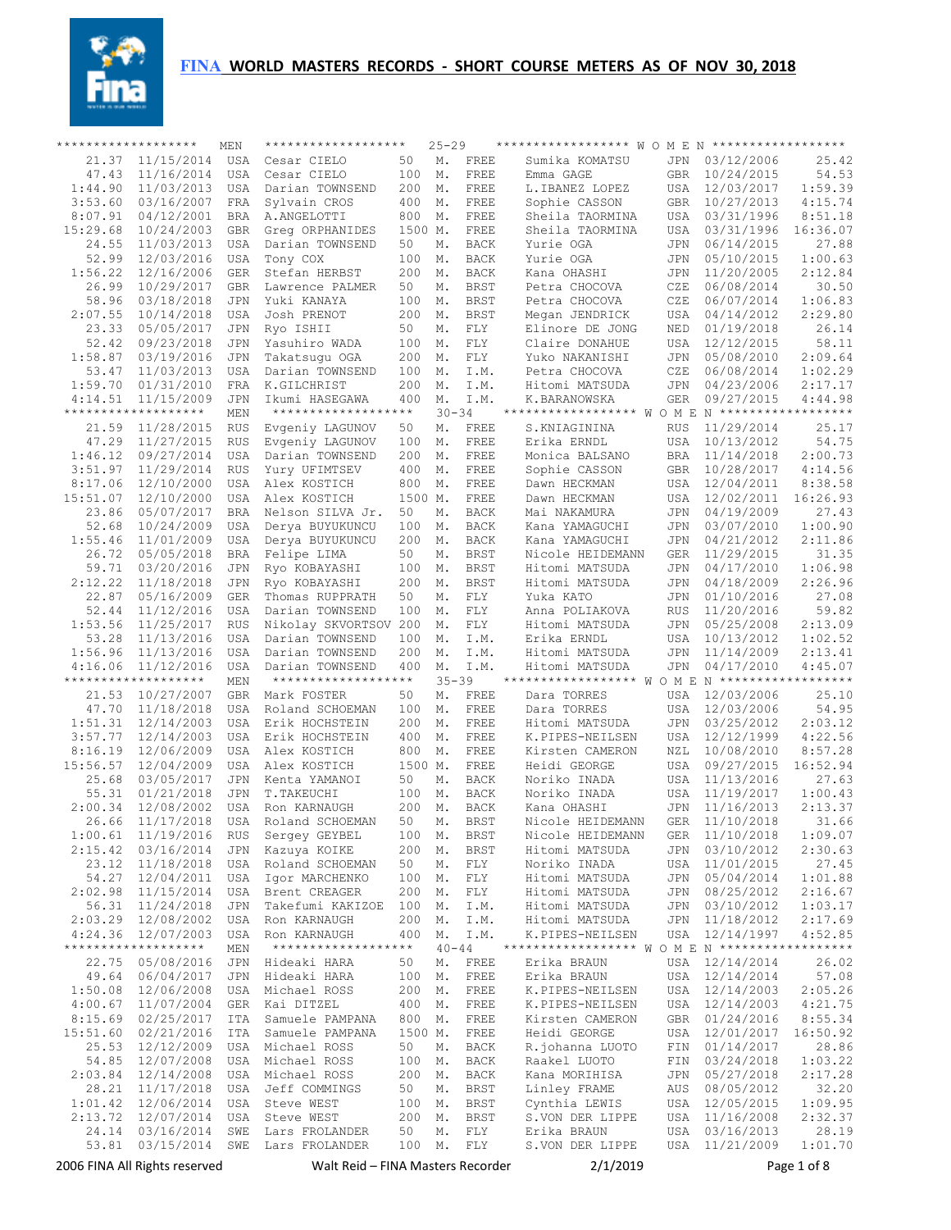

| ******************* |                               | MEN                      | *******************                |                | $25 - 29$ |                     | ****************** W O M E N ******************* |                   |                          |                    |
|---------------------|-------------------------------|--------------------------|------------------------------------|----------------|-----------|---------------------|--------------------------------------------------|-------------------|--------------------------|--------------------|
| 21.37               | 11/15/2014                    | <b>USA</b>               | Cesar CIELO                        | 50             | Μ.        | FREE                | Sumika KOMATSU                                   | JPN               | 03/12/2006               | 25.42              |
| 47.43               | 11/16/2014                    | <b>USA</b>               | Cesar CIELO                        | 100            | Μ.        | FREE                | Emma GAGE                                        | <b>GBR</b>        | 10/24/2015               | 54.53              |
| 1:44.90             | 11/03/2013                    | <b>USA</b>               | Darian TOWNSEND                    | 200            | Μ.        | FREE                | L.IBANEZ LOPEZ                                   | USA               | 12/03/2017               | 1:59.39            |
| 3:53.60             | 03/16/2007                    | <b>FRA</b>               | Sylvain CROS                       | 400            | Μ.        | FREE                | Sophie CASSON                                    | <b>GBR</b>        | 10/27/2013               | 4:15.74            |
| 8:07.91             | 04/12/2001<br>10/24/2003      | <b>BRA</b>               | A.ANGELOTTI                        | 800            | Μ.        | FREE                | Sheila TAORMINA                                  | USA               | 03/31/1996               | 8:51.18            |
| 15:29.68<br>24.55   | 11/03/2013                    | <b>GBR</b><br><b>USA</b> | Greq ORPHANIDES<br>Darian TOWNSEND | 1500 M.<br>50  | Μ.        | FREE<br><b>BACK</b> | Sheila TAORMINA<br>Yurie OGA                     | USA<br>JPN        | 03/31/1996<br>06/14/2015 | 16:36.07<br>27.88  |
| 52.99               | 12/03/2016                    | <b>USA</b>               | Tony COX                           | 100            | Μ.        | <b>BACK</b>         | Yurie OGA                                        | JPN               | 05/10/2015               | 1:00.63            |
| 1:56.22             | 12/16/2006                    | <b>GER</b>               | Stefan HERBST                      | 200            | Μ.        | <b>BACK</b>         | Kana OHASHI                                      | JPN               | 11/20/2005               | 2:12.84            |
| 26.99               | 10/29/2017                    | <b>GBR</b>               | Lawrence PALMER                    | 50             | Μ.        | <b>BRST</b>         | Petra CHOCOVA                                    | CZE               | 06/08/2014               | 30.50              |
| 58.96               | 03/18/2018                    | <b>JPN</b>               | Yuki KANAYA                        | 100            | М.        | <b>BRST</b>         | Petra CHOCOVA                                    | CZE               | 06/07/2014               | 1:06.83            |
| 2:07.55             | 10/14/2018                    | <b>USA</b>               | Josh PRENOT                        | 200            | Μ.        | <b>BRST</b>         | Megan JENDRICK                                   | USA               | 04/14/2012               | 2:29.80            |
| 23.33               | 05/05/2017                    | <b>JPN</b>               | Ryo ISHII                          | 50             | Μ.        | FLY                 | Elinore DE JONG                                  | <b>NED</b>        | 01/19/2018               | 26.14              |
| 52.42               | 09/23/2018                    | <b>JPN</b>               | Yasuhiro WADA                      | 100            | М.        | FLY                 | Claire DONAHUE                                   | USA               | 12/12/2015               | 58.11              |
| 1:58.87             | 03/19/2016                    | <b>JPN</b>               | Takatsuqu OGA                      | 200            | Μ.        | FLY                 | Yuko NAKANISHI                                   | <b>JPN</b>        | 05/08/2010               | 2:09.64            |
| 53.47               | 11/03/2013                    | <b>USA</b>               | Darian TOWNSEND                    | 100            | Μ.        | I.M.                | Petra CHOCOVA                                    | CZE               | 06/08/2014               | 1:02.29            |
| 1:59.70             | 01/31/2010                    | <b>FRA</b>               | K.GILCHRIST                        | 200            | Μ.        | I.M.                | Hitomi MATSUDA                                   | JPN               | 04/23/2006               | 2:17.17            |
| 4:14.51             | 11/15/2009                    | <b>JPN</b>               | Ikumi HASEGAWA                     | 400            | Μ.        | I.M.                | K.BARANOWSKA                                     | <b>GER</b>        | 09/27/2015               | 4:44.98            |
|                     | *******************           | MEN                      | *******************                |                | $30 - 34$ |                     | ****************** W O M E N ******************* |                   |                          |                    |
| 21.59<br>47.29      | 11/28/2015                    | <b>RUS</b>               | Evgeniy LAGUNOV                    | 50             | Μ.        | FREE<br>FREE        | S.KNIAGININA                                     | RUS<br><b>USA</b> | 11/29/2014<br>10/13/2012 | 25.17<br>54.75     |
| 1:46.12             | 11/27/2015<br>09/27/2014      | <b>RUS</b><br><b>USA</b> | Evgeniy LAGUNOV<br>Darian TOWNSEND | 100<br>200     | Μ.<br>Μ.  | FREE                | Erika ERNDL<br>Monica BALSANO                    | <b>BRA</b>        | 11/14/2018               | 2:00.73            |
| 3:51.97             | 11/29/2014                    | <b>RUS</b>               | Yury UFIMTSEV                      | 400            | Μ.        | FREE                | Sophie CASSON                                    | <b>GBR</b>        | 10/28/2017               | 4:14.56            |
| 8:17.06             | 12/10/2000                    | <b>USA</b>               | Alex KOSTICH                       | 800            | Μ.        | FREE                | Dawn HECKMAN                                     | USA               | 12/04/2011               | 8:38.58            |
| 15:51.07            | 12/10/2000                    | <b>USA</b>               | Alex KOSTICH                       | 1500 M.        |           | FREE                | Dawn HECKMAN                                     | <b>USA</b>        | 12/02/2011               | 16:26.93           |
| 23.86               | 05/07/2017                    | <b>BRA</b>               | Nelson SILVA Jr.                   | 50             | Μ.        | BACK                | Mai NAKAMURA                                     | JPN               | 04/19/2009               | 27.43              |
| 52.68               | 10/24/2009                    | <b>USA</b>               | Derva BUYUKUNCU                    | 100            | Μ.        | BACK                | Kana YAMAGUCHI                                   | JPN               | 03/07/2010               | 1:00.90            |
| 1:55.46             | 11/01/2009                    | <b>USA</b>               | Derva BUYUKUNCU                    | 200            | Μ.        | BACK                | Kana YAMAGUCHI                                   | JPN               | 04/21/2012               | 2:11.86            |
| 26.72               | 05/05/2018                    | <b>BRA</b>               | Felipe LIMA                        | 50             | Μ.        | <b>BRST</b>         | Nicole HEIDEMANN                                 | <b>GER</b>        | 11/29/2015               | 31.35              |
| 59.71               | 03/20/2016                    | JPN                      | Ryo KOBAYASHI                      | 100            | Μ.        | <b>BRST</b>         | Hitomi MATSUDA                                   | JPN               | 04/17/2010               | 1:06.98            |
| 2:12.22             | 11/18/2018                    | <b>JPN</b>               | Ryo KOBAYASHI                      | 200            | М.        | <b>BRST</b>         | Hitomi MATSUDA                                   | JPN               | 04/18/2009               | 2:26.96            |
| 22.87               | 05/16/2009                    | <b>GER</b>               | Thomas RUPPRATH                    | 50             | Μ.        | FLY                 | Yuka KATO                                        | JPN               | 01/10/2016               | 27.08              |
| 52.44               | 11/12/2016                    | <b>USA</b>               | Darian TOWNSEND                    | 100            | Μ.        | FLY                 | Anna POLIAKOVA                                   | <b>RUS</b>        | 11/20/2016               | 59.82              |
| 1:53.56             | 11/25/2017                    | <b>RUS</b>               | Nikolay SKVORTSOV 200              |                | Μ.        | FLY                 | Hitomi MATSUDA                                   | JPN               | 05/25/2008               | 2:13.09            |
| 53.28               | 11/13/2016                    | <b>USA</b>               | Darian TOWNSEND                    | 100            | Μ.        | I.M.                | Erika ERNDL                                      | USA               | 10/13/2012               | 1:02.52            |
| 1:56.96<br>4:16.06  | 11/13/2016<br>11/12/2016      | USA<br><b>USA</b>        | Darian TOWNSEND<br>Darian TOWNSEND | 200<br>400     | Μ.<br>Μ.  | I.M.<br>I.M.        | Hitomi MATSUDA<br>Hitomi MATSUDA                 | JPN               | 11/14/2009<br>04/17/2010 | 2:13.41<br>4:45.07 |
|                     | *******************           | MEN                      | *******************                |                | $35 - 39$ |                     | ****************** W O M E N ******************* | JPN               |                          |                    |
| 21.53               | 10/27/2007                    | <b>GBR</b>               | Mark FOSTER                        | 50             | М.        | FREE                | Dara TORRES                                      | <b>USA</b>        | 12/03/2006               | 25.10              |
| 47.70               | 11/18/2018                    | <b>USA</b>               | Roland SCHOEMAN                    | 100            | Μ.        | FREE                | Dara TORRES                                      | <b>USA</b>        | 12/03/2006               | 54.95              |
| 1:51.31             | 12/14/2003                    | <b>USA</b>               | Erik HOCHSTEIN                     | 200            | Μ.        | FREE                | Hitomi MATSUDA                                   | <b>JPN</b>        | 03/25/2012               | 2:03.12            |
| 3:57.77             | 12/14/2003                    | <b>USA</b>               | Erik HOCHSTEIN                     | 400            | Μ.        | FREE                | K.PIPES-NEILSEN                                  | USA               | 12/12/1999               | 4:22.56            |
| 8:16.19             | 12/06/2009                    | <b>USA</b>               | Alex KOSTICH                       | 800            | Μ.        | FREE                | Kirsten CAMERON                                  | NZL               | 10/08/2010               | 8:57.28            |
| 15:56.57            | 12/04/2009                    | <b>USA</b>               | Alex KOSTICH                       | 1500 M.        |           | FREE                | Heidi GEORGE                                     | <b>USA</b>        | 09/27/2015               | 16:52.94           |
| 25.68               | 03/05/2017                    | <b>JPN</b>               | Kenta YAMANOI                      | 50             | Μ.        | <b>BACK</b>         | Noriko INADA                                     | USA               | 11/13/2016               | 27.63              |
| 55.31               | 01/21/2018                    | JPN                      | T.TAKEUCHI                         | 100            | Μ.        | <b>BACK</b>         | Noriko INADA                                     | USA               | 11/19/2017               | 1:00.43            |
| 2:00.34             | 12/08/2002                    | <b>USA</b>               | Ron KARNAUGH                       | 200            | Μ.        | <b>BACK</b>         | Kana OHASHI                                      | JPN               | 11/16/2013               | 2:13.37            |
| 26.66               | 11/17/2018                    | <b>USA</b>               | Roland SCHOEMAN                    | 50             | Μ.        | <b>BRST</b>         | Nicole HEIDEMANN                                 | <b>GER</b>        | 11/10/2018               | 31.66              |
| 1:00.61             | 11/19/2016                    | <b>RUS</b>               | Sergey GEYBEL                      | 100 M.         |           | <b>BRST</b>         | Nicole HEIDEMANN                                 | ${\tt GER}$       | 11/10/2018               | 1:09.07            |
| 2:15.42<br>23.12    | 03/16/2014<br>11/18/2018      | JPN                      | Kazuya KOIKE<br>Roland SCHOEMAN    | 200<br>50      | М.        | BRST<br>FLY         | Hitomi MATSUDA<br>Noriko INADA                   | JPN               | 03/10/2012<br>11/01/2015 | 2:30.63<br>27.45   |
| 54.27               | 12/04/2011                    | USA<br>USA               | Igor MARCHENKO                     | 100            | М.<br>М.  | FLY                 | Hitomi MATSUDA                                   | USA<br>JPN        | 05/04/2014               | 1:01.88            |
| 2:02.98             | 11/15/2014                    | USA                      | Brent CREAGER                      | 200            | Μ.        | FLY                 | Hitomi MATSUDA                                   | JPN               | 08/25/2012               | 2:16.67            |
| 56.31               | 11/24/2018                    | JPN                      | Takefumi KAKIZOE                   | 100            | М.        | I.M.                | Hitomi MATSUDA                                   | JPN               | 03/10/2012               | 1:03.17            |
| 2:03.29             | 12/08/2002                    | USA                      | Ron KARNAUGH                       | 200            | Μ.        | I.M.                | Hitomi MATSUDA                                   | JPN               | 11/18/2012               | 2:17.69            |
| 4:24.36             | 12/07/2003                    | USA                      | Ron KARNAUGH                       | 400            | Μ.        | I.M.                | K.PIPES-NEILSEN                                  | USA               | 12/14/1997               | 4:52.85            |
|                     | *******************           | MEN                      | *******************                |                | $40 - 44$ |                     | ****************** W O M E N ******************* |                   |                          |                    |
| 22.75               | 05/08/2016                    | JPN                      | Hideaki HARA                       | 50             | М.        | FREE                | Erika BRAUN                                      | USA               | 12/14/2014               | 26.02              |
| 49.64               | 06/04/2017                    | JPN                      | Hideaki HARA                       | 100            | М.        | FREE                | Erika BRAUN                                      | USA               | 12/14/2014               | 57.08              |
| 1:50.08             | 12/06/2008                    | USA                      | Michael ROSS                       | 200            | Μ.        | FREE                | K.PIPES-NEILSEN                                  | USA               | 12/14/2003               | 2:05.26            |
| 4:00.67             | 11/07/2004                    | GER                      | Kai DITZEL                         | 400            | М.        | FREE                | K.PIPES-NEILSEN                                  | USA               | 12/14/2003               | 4:21.75            |
| 8:15.69             | 02/25/2017                    | ITA                      | Samuele PAMPANA                    | 800<br>1500 M. | М.        | FREE                | Kirsten CAMERON                                  | GBR               | 01/24/2016<br>12/01/2017 | 8:55.34            |
| 15:51.60<br>25.53   | 02/21/2016<br>12/12/2009      | ITA<br>USA               | Samuele PAMPANA<br>Michael ROSS    | 50             | М.        | FREE<br><b>BACK</b> | Heidi GEORGE<br>R.johanna LUOTO                  | USA<br>FIN        | 01/14/2017               | 16:50.92<br>28.86  |
| 54.85               | 12/07/2008                    | USA                      | Michael ROSS                       | 100            | М.        | BACK                | Raakel LUOTO                                     | FIN               | 03/24/2018               | 1:03.22            |
| 2:03.84             | 12/14/2008                    | USA                      | Michael ROSS                       | 200            | Μ.        | <b>BACK</b>         | Kana MORIHISA                                    | JPN               | 05/27/2018               | 2:17.28            |
| 28.21               | 11/17/2018                    | USA                      | Jeff COMMINGS                      | 50             | М.        | BRST                | Linley FRAME                                     | AUS               | 08/05/2012               | 32.20              |
| 1:01.42             | 12/06/2014                    | USA                      | Steve WEST                         | 100            | М.        | <b>BRST</b>         | Cynthia LEWIS                                    | USA               | 12/05/2015               | 1:09.95            |
| 2:13.72             | 12/07/2014                    | USA                      | Steve WEST                         | 200            | М.        | BRST                | S.VON DER LIPPE                                  | USA               | 11/16/2008               | 2:32.37            |
| 24.14               | 03/16/2014                    | SWE                      | Lars FROLANDER                     | 50             | М.        | FLY                 | Erika BRAUN                                      | USA               | 03/16/2013               | 28.19              |
| 53.81               | 03/15/2014                    | SWE                      | Lars FROLANDER                     | 100            | М.        | FLY                 | S.VON DER LIPPE                                  | USA               | 11/21/2009               | 1:01.70            |
|                     | 2006 FINA All Rights reserved |                          | Walt Reid – FINA Masters Recorder  |                |           |                     | 2/1/2019                                         |                   |                          | Page 1 of 8        |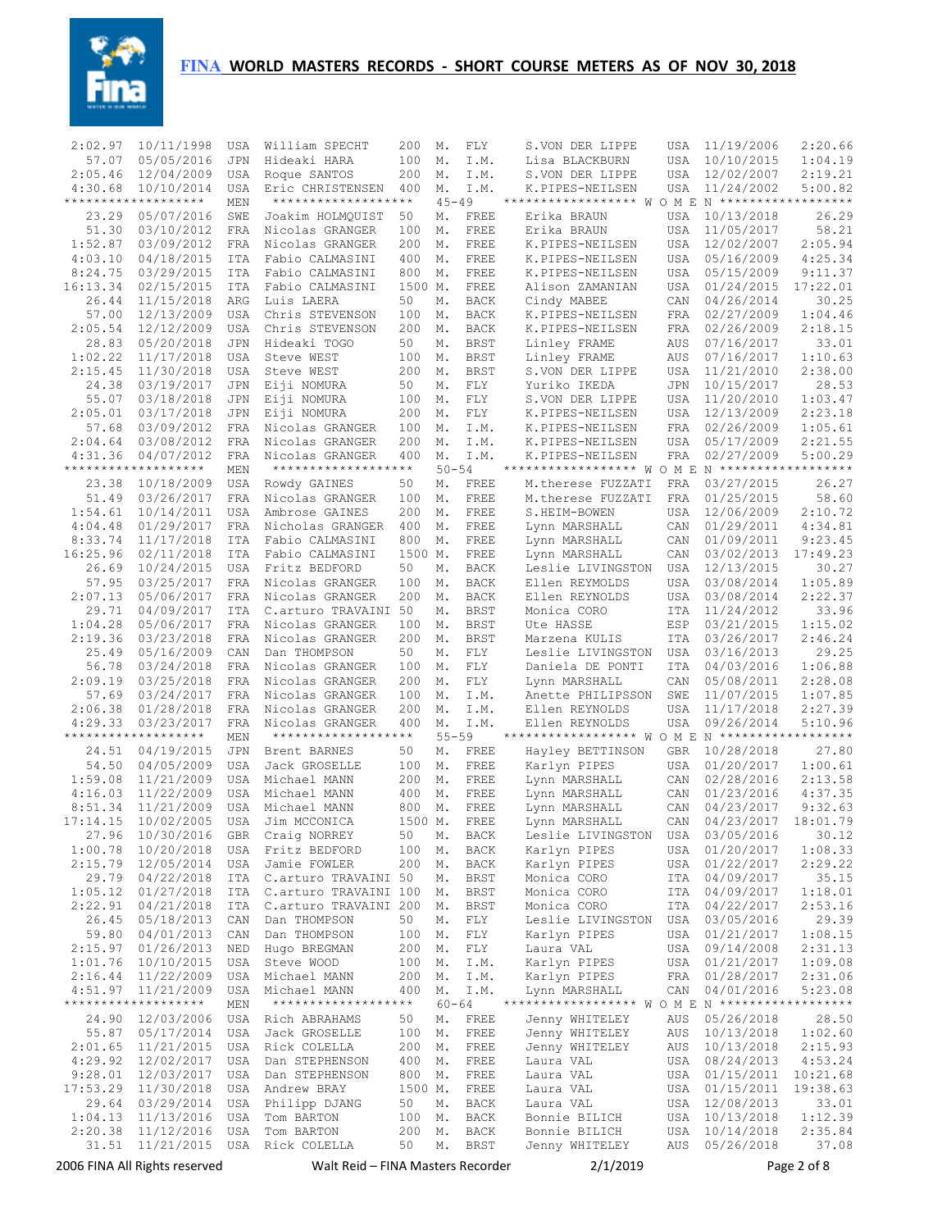

| 2:02.97             | 10/11/1998                        | USA                      | William SPECHT                      | 200           | М.              | FLY                 | S.VON DER LIPPE                                                   | USA               | 11/19/2006                      | 2:20.66            |
|---------------------|-----------------------------------|--------------------------|-------------------------------------|---------------|-----------------|---------------------|-------------------------------------------------------------------|-------------------|---------------------------------|--------------------|
| 57.07               | 05/05/2016                        | <b>JPN</b>               | Hideaki HARA                        | 100           | Μ.              | I.M.                | Lisa BLACKBURN                                                    | <b>USA</b>        | 10/10/2015                      | 1:04.19            |
| 2:05.46             | 12/04/2009                        | USA                      | Roque SANTOS                        | 200           | Μ.              | I.M.                | S.VON DER LIPPE                                                   | <b>USA</b>        | 12/02/2007                      | 2:19.21            |
| 4:30.68             | 10/10/2014                        | <b>USA</b>               | Eric CHRISTENSEN                    | 400           | М.              | I.M.                | K.PIPES-NEILSEN                                                   | USA               | 11/24/2002                      | 5:00.82            |
|                     | *******************               | MEN                      | *******************                 |               | $45 - 49$       |                     | ****************** W O M E N *******************                  |                   |                                 |                    |
| 23.29               | 05/07/2016                        | SWE                      | Joakim HOLMOUIST                    | 50            | М.              | FREE                | Erika BRAUN                                                       | USA               | 10/13/2018                      | 26.29              |
| 51.30               | 03/10/2012                        | <b>FRA</b>               | Nicolas GRANGER                     | 100           | Μ.              | FREE                | Erika BRAUN                                                       | <b>USA</b>        | 11/05/2017                      | 58.21              |
| 1:52.87             | 03/09/2012                        | <b>FRA</b>               | Nicolas GRANGER                     | 200           | Μ.              | FREE                | K.PIPES-NEILSEN                                                   | <b>USA</b>        | 12/02/2007                      | 2:05.94            |
| 4:03.10             | 04/18/2015                        | <b>ITA</b>               | Fabio CALMASINI                     | 400           | Μ.              | FREE                | K.PIPES-NEILSEN                                                   | <b>USA</b>        | 05/16/2009                      | 4:25.34            |
| 8:24.75             | 03/29/2015                        | <b>ITA</b>               | Fabio CALMASINI                     | 800           | Μ.              | FREE                | K.PIPES-NEILSEN                                                   | <b>USA</b>        | 05/15/2009                      | 9:11.37            |
| 16:13.34<br>26.44   | 02/15/2015<br>11/15/2018          | <b>ITA</b><br>ARG        | Fabio CALMASINI<br>Luis LAERA       | 1500 M.<br>50 | Μ.              | FREE<br><b>BACK</b> | Alison ZAMANIAN                                                   | <b>USA</b><br>CAN | 01/24/2015<br>04/26/2014        | 17:22.01<br>30.25  |
| 57.00               | 12/13/2009                        | <b>USA</b>               | Chris STEVENSON                     | 100           | Μ.              | <b>BACK</b>         | Cindy MABEE<br>K.PIPES-NEILSEN                                    | FRA               | 02/27/2009                      | 1:04.46            |
| 2:05.54             | 12/12/2009                        | <b>USA</b>               | Chris STEVENSON                     | 200           | Μ.              | <b>BACK</b>         | K.PIPES-NEILSEN                                                   | <b>FRA</b>        | 02/26/2009                      | 2:18.15            |
| 28.83               | 05/20/2018                        | <b>JPN</b>               | Hideaki TOGO                        | 50            | Μ.              | <b>BRST</b>         | Linley FRAME                                                      | AUS               | 07/16/2017                      | 33.01              |
| 1:02.22             | 11/17/2018                        | <b>USA</b>               | Steve WEST                          | 100           | Μ.              | <b>BRST</b>         | Linley FRAME                                                      | AUS               | 07/16/2017                      | 1:10.63            |
| 2:15.45             | 11/30/2018                        | <b>USA</b>               | Steve WEST                          | 200           | Μ.              | <b>BRST</b>         | S.VON DER LIPPE                                                   | <b>USA</b>        | 11/21/2010                      | 2:38.00            |
| 24.38               | 03/19/2017                        | <b>JPN</b>               | Eiji NOMURA                         | 50            | М.              | ${\rm FLY}$         | Yuriko IKEDA                                                      | <b>JPN</b>        | 10/15/2017                      | 28.53              |
| 55.07               | 03/18/2018                        | <b>JPN</b>               | Eiji NOMURA                         | 100           | Μ.              | FLY                 | S.VON DER LIPPE                                                   | <b>USA</b>        | 11/20/2010                      | 1:03.47            |
| 2:05.01             | 03/17/2018                        | JPN                      | Eiji NOMURA                         | 200           | Μ.              | FLY                 | K.PIPES-NEILSEN                                                   | <b>USA</b>        | 12/13/2009                      | 2:23.18            |
| 57.68               | 03/09/2012                        | <b>FRA</b>               | Nicolas GRANGER                     | 100           | Μ.              | I.M.                | K.PIPES-NEILSEN                                                   | FRA               | 02/26/2009                      | 1:05.61            |
| 2:04.64             | 03/08/2012                        | <b>FRA</b>               | Nicolas GRANGER                     | 200           | Μ.              | I.M.                | K.PIPES-NEILSEN                                                   | <b>USA</b>        | 05/17/2009                      | 2:21.55            |
| 4:31.36             | 04/07/2012                        | <b>FRA</b>               | Nicolas GRANGER                     | 400           | Μ.              | I.M.                | K.PIPES-NEILSEN                                                   | <b>FRA</b>        | 02/27/2009                      | 5:00.29            |
|                     | *******************               | MEN                      | *******************                 |               | $50 - 54$       |                     | ******************                                                |                   | $W$ O M E N ******************* |                    |
| 23.38               | 10/18/2009                        | USA                      | Rowdy GAINES                        | 50            | М.              | FREE                | M.therese FUZZATI                                                 | <b>FRA</b>        | 03/27/2015                      | 26.27              |
| 51.49               | 03/26/2017                        | <b>FRA</b>               | Nicolas GRANGER                     | 100           | М.              | FREE                | M.therese FUZZATI                                                 | <b>FRA</b>        | 01/25/2015                      | 58.60              |
| 1:54.61             | 10/14/2011                        | <b>USA</b>               | Ambrose GAINES                      | 200           | Μ.              | FREE                | S.HEIM-BOWEN                                                      | <b>USA</b>        | 12/06/2009                      | 2:10.72            |
| 4:04.48             | 01/29/2017                        | <b>FRA</b>               | Nicholas GRANGER                    | 400           | Μ.              | FREE                | Lynn MARSHALL                                                     | CAN               | 01/29/2011                      | 4:34.81            |
| 8:33.74<br>16:25.96 | 11/17/2018                        | <b>ITA</b>               | Fabio CALMASINI<br>Fabio CALMASINI  | 800           | Μ.              | FREE                | Lynn MARSHALL                                                     | CAN               | 01/09/2011                      | 9:23.45            |
| 26.69               | 02/11/2018<br>10/24/2015          | <b>ITA</b><br><b>USA</b> | Fritz BEDFORD                       | 1500 M.<br>50 | Μ.              | FREE<br><b>BACK</b> | Lynn MARSHALL<br>Leslie LIVINGSTON                                | CAN<br><b>USA</b> | 03/02/2013<br>12/13/2015        | 17:49.23<br>30.27  |
| 57.95               | 03/25/2017                        | <b>FRA</b>               | Nicolas GRANGER                     | 100           | Μ.              | <b>BACK</b>         | Ellen REYMOLDS                                                    | <b>USA</b>        | 03/08/2014                      | 1:05.89            |
| 2:07.13             | 05/06/2017                        | <b>FRA</b>               | Nicolas GRANGER                     | 200           | Μ.              | <b>BACK</b>         | Ellen REYNOLDS                                                    | <b>USA</b>        | 03/08/2014                      | 2:22.37            |
| 29.71               | 04/09/2017                        | <b>ITA</b>               | C.arturo TRAVAINI 50                |               | Μ.              | <b>BRST</b>         | Monica CORO                                                       | <b>ITA</b>        | 11/24/2012                      | 33.96              |
| 1:04.28             | 05/06/2017                        | <b>FRA</b>               | Nicolas GRANGER                     | 100           | Μ.              | <b>BRST</b>         | Ute HASSE                                                         | ESP               | 03/21/2015                      | 1:15.02            |
| 2:19.36             | 03/23/2018                        | <b>FRA</b>               | Nicolas GRANGER                     | 200           | Μ.              | <b>BRST</b>         | Marzena KULIS                                                     | <b>ITA</b>        | 03/26/2017                      | 2:46.24            |
| 25.49               | 05/16/2009                        | CAN                      | Dan THOMPSON                        | 50            | М.              | FLY                 | Leslie LIVINGSTON                                                 | <b>USA</b>        | 03/16/2013                      | 29.25              |
| 56.78               | 03/24/2018                        | <b>FRA</b>               | Nicolas GRANGER                     | 100           | Μ.              | ${\rm FLY}$         | Daniela DE PONTI                                                  | <b>ITA</b>        | 04/03/2016                      | 1:06.88            |
| 2:09.19             | 03/25/2018                        | <b>FRA</b>               | Nicolas GRANGER                     | 200           | Μ.              | FLY                 | Lynn MARSHALL                                                     | CAN               | 05/08/2011                      | 2:28.08            |
| 57.69               | 03/24/2017                        | <b>FRA</b>               | Nicolas GRANGER                     | 100           | Μ.              | I.M.                | Anette PHILIPSSON                                                 | SWE               | 11/07/2015                      | 1:07.85            |
| 2:06.38             | 01/28/2018                        | <b>FRA</b>               | Nicolas GRANGER                     | 200           | Μ.              | I.M.                | Ellen REYNOLDS                                                    | <b>USA</b>        | 11/17/2018                      | 2:27.39            |
| 4:29.33             | 03/23/2017                        | <b>FRA</b>               | Nicolas GRANGER                     | 400           | Μ.              | I.M.                | Ellen REYNOLDS                                                    | USA               | 09/26/2014                      | 5:10.96            |
|                     | *******************               | MEN                      | *******************                 |               | $55 - 59$       |                     | ****************** W O M E N *******************                  |                   |                                 |                    |
| 24.51               | 04/19/2015                        | JPN                      | Brent BARNES                        | 50            | Μ.              | FREE                | Hayley BETTINSON                                                  | <b>GBR</b>        | 10/28/2018                      | 27.80              |
| 54.50               | 04/05/2009                        | <b>USA</b>               | Jack GROSELLE                       | 100           | М.              | FREE                | Karlyn PIPES                                                      | USA               | 01/20/2017<br>02/28/2016        | 1:00.61            |
| 1:59.08<br>4:16.03  | 11/21/2009<br>11/22/2009          | <b>USA</b><br><b>USA</b> | Michael MANN<br>Michael MANN        | 200<br>400    | Μ.<br>Μ.        | FREE<br>FREE        | Lynn MARSHALL<br>Lynn MARSHALL                                    | CAN<br>CAN        | 01/23/2016                      | 2:13.58<br>4:37.35 |
| 8:51.34             | 11/21/2009                        | <b>USA</b>               | Michael MANN                        | 800           | М.              | FREE                | Lynn MARSHALL                                                     | CAN               | 04/23/2017                      | 9:32.63            |
| 17:14.15            | 10/02/2005                        | <b>USA</b>               | Jim MCCONICA                        | 1500 M.       |                 | FREE                | Lynn MARSHALL                                                     | CAN               | 04/23/2017                      | 18:01.79           |
| 27.96               | 10/30/2016                        | GBR                      | Craig NORREY                        | 50            | Μ.              | BACK                | Leslie LIVINGSTON                                                 | USA               | 03/05/2016                      | 30.12              |
| 1:00.78             | 10/20/2018                        | USA                      | Fritz BEDFORD                       | 100           | М.              | BACK                | Karlyn PIPES                                                      | USA               | 01/20/2017                      | 1:08.33            |
| 2:15.79             | 12/05/2014                        | USA                      | Jamie FOWLER                        | 200           | Μ.              | BACK                | Karlyn PIPES                                                      | USA               | 01/22/2017                      | 2:29.22            |
| 29.79               | 04/22/2018                        | ITA                      | C.arturo TRAVAINI 50                |               | М.              | <b>BRST</b>         | Monica CORO                                                       | ITA               | 04/09/2017                      | 35.15              |
| 1:05.12             | 01/27/2018                        | ITA                      | C.arturo TRAVAINI 100               |               | Μ.              | BRST                | Monica CORO                                                       | ITA               | 04/09/2017                      | 1:18.01            |
| 2:22.91             | 04/21/2018                        | ITA                      | C.arturo TRAVAINI 200               |               | М.              | <b>BRST</b>         | Monica CORO                                                       | ITA               | 04/22/2017                      | 2:53.16            |
| 26.45               | 05/18/2013                        | CAN                      | Dan THOMPSON                        | 50            | М.              | FLY                 | Leslie LIVINGSTON                                                 | USA               | 03/05/2016                      | 29.39              |
| 59.80               | 04/01/2013                        | CAN                      | Dan THOMPSON                        | 100           | М.              | FLY                 | Karlyn PIPES                                                      | USA               | 01/21/2017                      | 1:08.15            |
| 2:15.97             | 01/26/2013                        | NED                      | Hugo BREGMAN                        | 200           | Μ.              | FLY                 | Laura VAL                                                         | USA               | 09/14/2008                      | 2:31.13            |
| 1:01.76             | 10/10/2015                        | USA                      | Steve WOOD                          | 100           | М.              | I.M.                | Karlyn PIPES                                                      | USA               | 01/21/2017                      | 1:09.08            |
| 2:16.44             | 11/22/2009                        | USA                      | Michael MANN                        | 200           | М.              | I.M.                | Karlyn PIPES                                                      | FRA               | 01/28/2017                      | 2:31.06            |
| 4:51.97             | 11/21/2009<br>******************* | USA<br>MEN               | Michael MANN<br>******************* | 400           | Μ.<br>$60 - 64$ | I.M.                | Lynn MARSHALL<br>****************** W O M E N ******************* | CAN               | 04/01/2016                      | 5:23.08            |
| 24.90               | 12/03/2006                        | USA                      | Rich ABRAHAMS                       | 50            | М.              | FREE                | Jenny WHITELEY                                                    | AUS               | 05/26/2018                      | 28.50              |
| 55.87               | 05/17/2014                        | USA                      | Jack GROSELLE                       | 100           | Μ.              | FREE                | Jenny WHITELEY                                                    | AUS               | 10/13/2018                      | 1:02.60            |
| 2:01.65             | 11/21/2015                        | USA                      | Rick COLELLA                        | 200           | Μ.              | FREE                | Jenny WHITELEY                                                    | AUS               | 10/13/2018                      | 2:15.93            |
| 4:29.92             | 12/02/2017                        | USA                      | Dan STEPHENSON                      | 400           | Μ.              | FREE                | Laura VAL                                                         | USA               | 08/24/2013                      | 4:53.24            |
| 9:28.01             | 12/03/2017                        | USA                      | Dan STEPHENSON                      | 800           | М.              | FREE                | Laura VAL                                                         | USA               | 01/15/2011                      | 10:21.68           |
| 17:53.29            | 11/30/2018                        | USA                      | Andrew BRAY                         | 1500 M.       |                 | FREE                | Laura VAL                                                         | USA               | 01/15/2011                      | 19:38.63           |
| 29.64               | 03/29/2014                        | USA                      | Philipp DJANG                       | 50            | М.              | BACK                | Laura VAL                                                         | USA               | 12/08/2013                      | 33.01              |
| 1:04.13             | 11/13/2016                        | USA                      | Tom BARTON                          | 100           | М.              | BACK                | Bonnie BILICH                                                     | USA               | 10/13/2018                      | 1:12.39            |
| 2:20.38             | 11/12/2016                        | USA                      | Tom BARTON                          | 200           | М.              | BACK                | Bonnie BILICH                                                     | USA               | 10/14/2018                      | 2:35.84            |
| 31.51               | 11/21/2015                        | USA                      | Rick COLELLA                        | 50            | М.              | <b>BRST</b>         | Jenny WHITELEY                                                    | AUS               | 05/26/2018                      | 37.08              |
|                     | 2006 FINA All Rights reserved     |                          | Walt Reid – FINA Masters Recorder   |               |                 |                     | 2/1/2019                                                          |                   |                                 | Page 2 of 8        |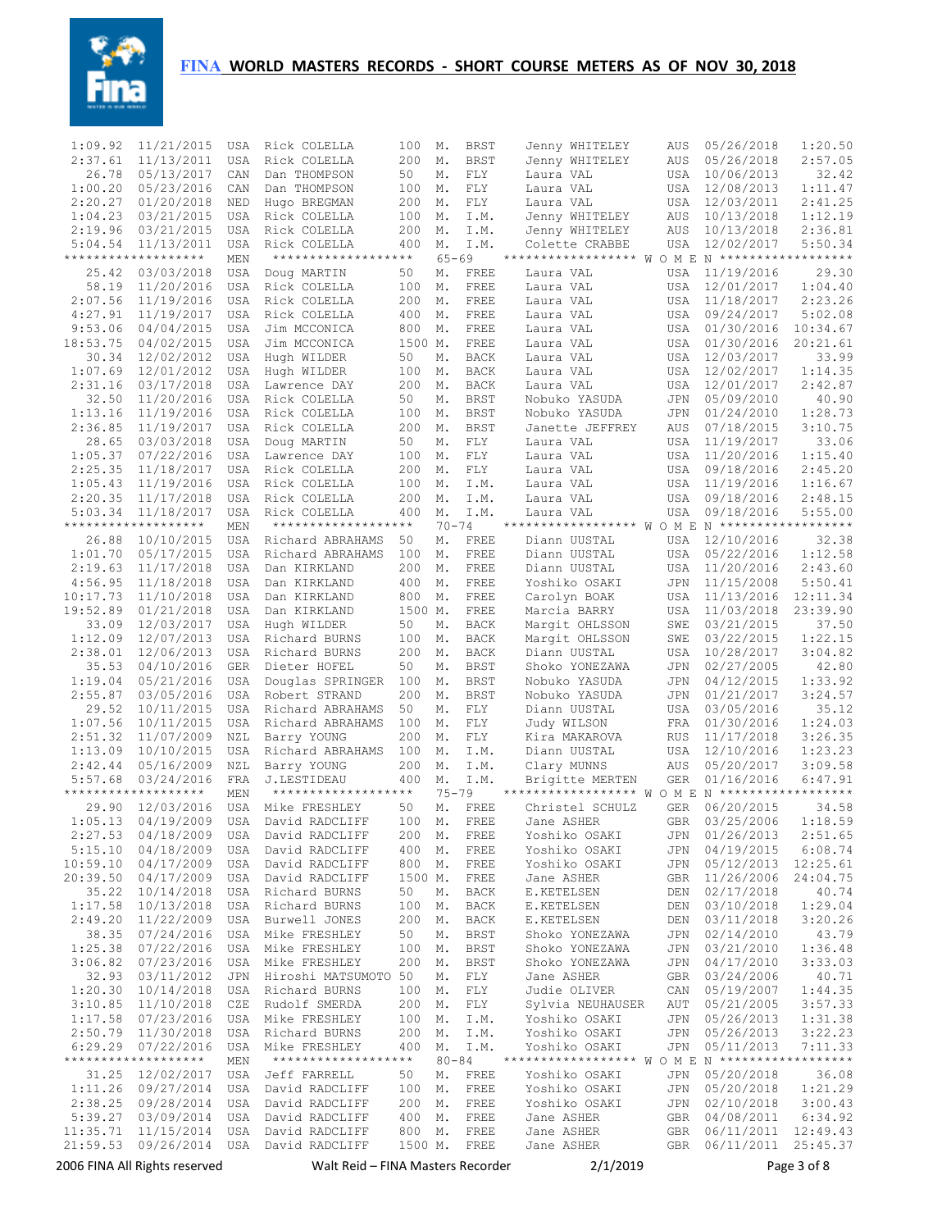

| 1:09.92              | 11/21/2015                        | USA                      | Rick COLELLA                         | 100            | М.              | <b>BRST</b>         | Jenny WHITELEY                                   | AUS                      | 05/26/2018               | 1:20.50              |
|----------------------|-----------------------------------|--------------------------|--------------------------------------|----------------|-----------------|---------------------|--------------------------------------------------|--------------------------|--------------------------|----------------------|
| 2:37.61              | 11/13/2011                        | USA                      | Rick COLELLA                         | 200            | Μ.              | <b>BRST</b>         | Jenny WHITELEY                                   | AUS                      | 05/26/2018               | 2:57.05              |
| 26.78                | 05/13/2017                        | CAN                      | Dan THOMPSON                         | 50             | М.              | FLY                 | Laura VAL                                        | USA                      | 10/06/2013               | 32.42                |
| 1:00.20              | 05/23/2016                        | CAN                      | Dan THOMPSON                         | 100            | М.              | FLY                 | Laura VAL                                        | <b>USA</b>               | 12/08/2013               | 1:11.47<br>2:41.25   |
| 2:20.27<br>1:04.23   | 01/20/2018<br>03/21/2015          | NED<br><b>USA</b>        | Hugo BREGMAN<br>Rick COLELLA         | 200<br>100     | Μ.<br>Μ.        | FLY<br>I.M.         | Laura VAL<br>Jenny WHITELEY                      | <b>USA</b><br>AUS        | 12/03/2011<br>10/13/2018 | 1:12.19              |
| 2:19.96              | 03/21/2015                        | <b>USA</b>               | Rick COLELLA                         | 200            | М.              | I.M.                | Jenny WHITELEY                                   | <b>AUS</b>               | 10/13/2018               | 2:36.81              |
| 5:04.54              | 11/13/2011                        | <b>USA</b>               | Rick COLELLA                         | 400            | М.              | I.M.                | Colette CRABBE                                   | USA                      | 12/02/2017               | 5:50.34              |
|                      | *******************               | MEN                      | *******************                  |                | $65 - 69$       |                     | ****************** W O M E N ******************* |                          |                          |                      |
| 25.42                | 03/03/2018                        | <b>USA</b>               | Doug MARTIN                          | 50             | М.              | FREE                | Laura VAL                                        | <b>USA</b>               | 11/19/2016               | 29.30                |
| 58.19                | 11/20/2016                        | <b>USA</b>               | Rick COLELLA                         | 100            | Μ.              | FREE                | Laura VAL                                        | <b>USA</b>               | 12/01/2017               | 1:04.40              |
| 2:07.56              | 11/19/2016                        | <b>USA</b>               | Rick COLELLA                         | 200            | Μ.              | FREE                | Laura VAL                                        | <b>USA</b>               | 11/18/2017               | 2:23.26              |
| 4:27.91              | 11/19/2017                        | <b>USA</b><br><b>USA</b> | Rick COLELLA<br>Jim MCCONICA         | 400            | Μ.              | FREE<br>FREE        | Laura VAL                                        | USA                      | 09/24/2017               | 5:02.08<br>10:34.67  |
| 9:53.06<br>18:53.75  | 04/04/2015<br>04/02/2015          | <b>USA</b>               | Jim MCCONICA                         | 800<br>1500 M. | Μ.              | FREE                | Laura VAL<br>Laura VAL                           | <b>USA</b><br>USA        | 01/30/2016<br>01/30/2016 | 20:21.61             |
| 30.34                | 12/02/2012                        | <b>USA</b>               | Hugh WILDER                          | 50             | М.              | <b>BACK</b>         | Laura VAL                                        | USA                      | 12/03/2017               | 33.99                |
| 1:07.69              | 12/01/2012                        | <b>USA</b>               | Hugh WILDER                          | 100            | Μ.              | <b>BACK</b>         | Laura VAL                                        | USA                      | 12/02/2017               | 1:14.35              |
| 2:31.16              | 03/17/2018                        | <b>USA</b>               | Lawrence DAY                         | 200            | Μ.              | <b>BACK</b>         | Laura VAL                                        | <b>USA</b>               | 12/01/2017               | 2:42.87              |
| 32.50                | 11/20/2016                        | <b>USA</b>               | Rick COLELLA                         | 50             | М.              | <b>BRST</b>         | Nobuko YASUDA                                    | JPN                      | 05/09/2010               | 40.90                |
| 1:13.16              | 11/19/2016                        | <b>USA</b>               | Rick COLELLA                         | 100            | Μ.              | <b>BRST</b>         | Nobuko YASUDA                                    | JPN                      | 01/24/2010               | 1:28.73              |
| 2:36.85              | 11/19/2017                        | <b>USA</b>               | Rick COLELLA                         | 200            | М.              | <b>BRST</b>         | Janette JEFFREY                                  | AUS                      | 07/18/2015               | 3:10.75              |
| 28.65<br>1:05.37     | 03/03/2018<br>07/22/2016          | <b>USA</b>               | Doug MARTIN<br>Lawrence DAY          | 50<br>100      | М.              | FLY                 | Laura VAL<br>Laura VAL                           | USA                      | 11/19/2017               | 33.06<br>1:15.40     |
| 2:25.35              | 11/18/2017                        | USA<br>USA               | Rick COLELLA                         | 200            | М.<br>М.        | FLY<br>FLY          | Laura VAL                                        | USA<br>USA               | 11/20/2016<br>09/18/2016 | 2:45.20              |
| 1:05.43              | 11/19/2016                        | <b>USA</b>               | Rick COLELLA                         | 100            | М.              | I.M.                | Laura VAL                                        | USA                      | 11/19/2016               | 1:16.67              |
| 2:20.35              | 11/17/2018                        | <b>USA</b>               | Rick COLELLA                         | 200            | Μ.              | I.M.                | Laura VAL                                        | <b>USA</b>               | 09/18/2016               | 2:48.15              |
| 5:03.34              | 11/18/2017                        | USA                      | Rick COLELLA                         | 400            | М.              | I.M.                | Laura VAL                                        | USA                      | 09/18/2016               | 5:55.00              |
|                      | *******************               | MEN                      | *******************                  |                | $70 - 74$       |                     | ****************** W O M E N ******************* |                          |                          |                      |
| 26.88                | 10/10/2015                        | USA                      | Richard ABRAHAMS                     | 50             | М.              | FREE                | Diann UUSTAL                                     | USA                      | 12/10/2016               | 32.38                |
| 1:01.70              | 05/17/2015                        | <b>USA</b>               | Richard ABRAHAMS                     | 100            | М.              | FREE                | Diann UUSTAL                                     | USA                      | 05/22/2016               | 1:12.58              |
| 2:19.63<br>4:56.95   | 11/17/2018<br>11/18/2018          | USA                      | Dan KIRKLAND                         | 200            | М.              | FREE<br>FREE        | Diann UUSTAL<br>Yoshiko OSAKI                    | USA                      | 11/20/2016               | 2:43.60<br>5:50.41   |
| 10:17.73             | 11/10/2018                        | <b>USA</b><br><b>USA</b> | Dan KIRKLAND<br>Dan KIRKLAND         | 400<br>800     | Μ.<br>Μ.        | FREE                | Carolyn BOAK                                     | <b>JPN</b><br><b>USA</b> | 11/15/2008<br>11/13/2016 | 12:11.34             |
| 19:52.89             | 01/21/2018                        | <b>USA</b>               | Dan KIRKLAND                         | 1500 M.        |                 | FREE                | Marcia BARRY                                     | <b>USA</b>               | 11/03/2018               | 23:39.90             |
| 33.09                | 12/03/2017                        | USA                      | Hugh WILDER                          | 50             | М.              | <b>BACK</b>         | Marqit OHLSSON                                   | SWE                      | 03/21/2015               | 37.50                |
| 1:12.09              | 12/07/2013                        | <b>USA</b>               | Richard BURNS                        | 100            | Μ.              | <b>BACK</b>         | Margit OHLSSON                                   | SWE                      | 03/22/2015               | 1:22.15              |
| 2:38.01              | 12/06/2013                        | <b>USA</b>               | Richard BURNS                        | 200            | М.              | <b>BACK</b>         | Diann UUSTAL                                     | USA                      | 10/28/2017               | 3:04.82              |
| 35.53                | 04/10/2016                        | <b>GER</b>               | Dieter HOFEL                         | 50             | М.              | <b>BRST</b>         | Shoko YONEZAWA                                   | JPN                      | 02/27/2005               | 42.80                |
| 1:19.04              | 05/21/2016                        | <b>USA</b>               | Douglas SPRINGER                     | 100            | Μ.              | <b>BRST</b>         | Nobuko YASUDA                                    | JPN                      | 04/12/2015               | 1:33.92              |
| 2:55.87<br>29.52     | 03/05/2016<br>10/11/2015          | USA<br><b>USA</b>        | Robert STRAND<br>Richard ABRAHAMS    | 200<br>50      | Μ.<br>Μ.        | <b>BRST</b><br>FLY  | Nobuko YASUDA<br>Diann UUSTAL                    | JPN<br>USA               | 01/21/2017<br>03/05/2016 | 3:24.57<br>35.12     |
| 1:07.56              | 10/11/2015                        | USA                      | Richard ABRAHAMS                     | 100            | Μ.              | FLY                 | Judy WILSON                                      | FRA                      | 01/30/2016               | 1:24.03              |
| 2:51.32              | 11/07/2009                        | NZL                      | Barry YOUNG                          | 200            | Μ.              | ${\rm FLY}$         | Kira MAKAROVA                                    | <b>RUS</b>               | 11/17/2018               | 3:26.35              |
| 1:13.09              | 10/10/2015                        | <b>USA</b>               | Richard ABRAHAMS                     | 100            | Μ.              | I.M.                | Diann UUSTAL                                     | USA                      | 12/10/2016               | 1:23.23              |
| 2:42.44              | 05/16/2009                        | NZL                      | Barry YOUNG                          | 200            | Μ.              | I.M.                | Clary MUNNS                                      | AUS                      | 05/20/2017               | 3:09.58              |
| 5:57.68              | 03/24/2016                        | FRA                      | J.LESTIDEAU                          | 400            | М.              | I.M.                | Brigitte MERTEN                                  | <b>GER</b>               | 01/16/2016               | 6:47.91              |
| 29.90                | *******************<br>12/03/2016 | MEN<br>USA               | *******************<br>Mike FRESHLEY | 50             | $75 - 79$<br>М. | FREE                | ****************** W O M E N ******************* | <b>GER</b>               | 06/20/2015               |                      |
| 1:05.13              | 04/19/2009                        | <b>USA</b>               | David RADCLIFF                       | 100            | Μ.              | FREE                | Christel SCHULZ<br>Jane ASHER                    | <b>GBR</b>               | 03/25/2006               | 34.58<br>1:18.59     |
| 2:27.53              | 04/18/2009                        | USA                      | David RADCLIFF                       | 200            | Μ.              | FREE                | Yoshiko OSAKI                                    | JPN                      | 01/26/2013               | 2:51.65              |
| 5:15.10              | 04/18/2009                        | USA                      | David RADCLIFF                       | 400            | М.              | FREE                | Yoshiko OSAKI                                    | JPN                      | 04/19/2015               | 6:08.74              |
| 10:59.10             | 04/17/2009                        | USA                      | David RADCLIFF                       | 800            | М.              | FREE                | Yoshiko OSAKI                                    | JPN                      | 05/12/2013               | 12:25.61             |
| 20:39.50             | 04/17/2009                        | USA                      | David RADCLIFF                       | 1500 M.        |                 | FREE                | Jane ASHER                                       | GBR                      | 11/26/2006               | 24:04.75             |
| 35.22                | 10/14/2018                        | USA                      | Richard BURNS                        | 50             | М.              | BACK                | E.KETELSEN                                       | DEN                      | 02/17/2018               | 40.74                |
| 1:17.58<br>2:49.20   | 10/13/2018<br>11/22/2009          | USA<br>USA               | Richard BURNS<br>Burwell JONES       | 100<br>200     | М.<br>М.        | BACK<br><b>BACK</b> | E.KETELSEN<br>E.KETELSEN                         | DEN<br>DEN               | 03/10/2018<br>03/11/2018 | 1:29.04<br>3:20.26   |
| 38.35                | 07/24/2016                        | USA                      | Mike FRESHLEY                        | 50             | М.              | <b>BRST</b>         | Shoko YONEZAWA                                   | JPN                      | 02/14/2010               | 43.79                |
| 1:25.38              | 07/22/2016                        | USA                      | Mike FRESHLEY                        | 100            | М.              | <b>BRST</b>         | Shoko YONEZAWA                                   | JPN                      | 03/21/2010               | 1:36.48              |
| 3:06.82              | 07/23/2016                        | USA                      | Mike FRESHLEY                        | 200            | М.              | BRST                | Shoko YONEZAWA                                   | JPN                      | 04/17/2010               | 3:33.03              |
| 32.93                | 03/11/2012                        | JPN                      | Hiroshi MATSUMOTO 50                 |                | М.              | FLY                 | Jane ASHER                                       | GBR                      | 03/24/2006               | 40.71                |
| 1:20.30              | 10/14/2018                        | USA                      | Richard BURNS                        | 100            | М.              | FLY                 | Judie OLIVER                                     | CAN                      | 05/19/2007               | 1:44.35              |
| 3:10.85              | 11/10/2018                        | CZE                      | Rudolf SMERDA                        | 200            | М.              | FLY                 | Sylvia NEUHAUSER                                 | AUT                      | 05/21/2005               | 3:57.33              |
| 1:17.58<br>2:50.79   | 07/23/2016<br>11/30/2018          | USA<br>USA               | Mike FRESHLEY<br>Richard BURNS       | 100<br>200     | М.<br>М.        | I.M.<br>I.M.        | Yoshiko OSAKI<br>Yoshiko OSAKI                   | JPN<br>JPN               | 05/26/2013<br>05/26/2013 | 1:31.38<br>3:22.23   |
| 6:29.29              | 07/22/2016                        | USA                      | Mike FRESHLEY                        | 400            | М.              | I.M.                | Yoshiko OSAKI                                    | JPN                      | 05/11/2013               | 7:11.33              |
|                      | *******************               | MEN                      | *******************                  |                | $80 - 84$       |                     |                                                  |                          |                          |                      |
| 31.25                | 12/02/2017                        | USA                      | Jeff FARRELL                         | 50             | М.              | FREE                | Yoshiko OSAKI                                    | JPN                      | 05/20/2018               | 36.08                |
| 1:11.26              | 09/27/2014                        | USA                      | David RADCLIFF                       | 100            | М.              | FREE                | Yoshiko OSAKI                                    | JPN                      | 05/20/2018               | 1:21.29              |
| 2:38.25              | 09/28/2014                        | USA                      | David RADCLIFF                       | 200            | М.              | FREE                | Yoshiko OSAKI                                    | JPN                      | 02/10/2018               | 3:00.43              |
| 5:39.27              | 03/09/2014                        | USA                      | David RADCLIFF                       | 400            | М.              | FREE                | Jane ASHER                                       | GBR                      | 04/08/2011               | 6:34.92              |
| 11:35.71<br>21:59.53 | 11/15/2014<br>09/26/2014          | USA<br>USA               | David RADCLIFF<br>David RADCLIFF     | 800<br>1500 M. | М.              | FREE<br>FREE        | Jane ASHER<br>Jane ASHER                         | GBR<br>GBR               | 06/11/2011<br>06/11/2011 | 12:49.43<br>25:45.37 |
|                      |                                   |                          |                                      |                |                 |                     |                                                  |                          |                          |                      |
|                      | 2006 FINA All Rights reserved     |                          | Walt Reid – FINA Masters Recorder    |                |                 |                     | 2/1/2019                                         |                          |                          | Page 3 of 8          |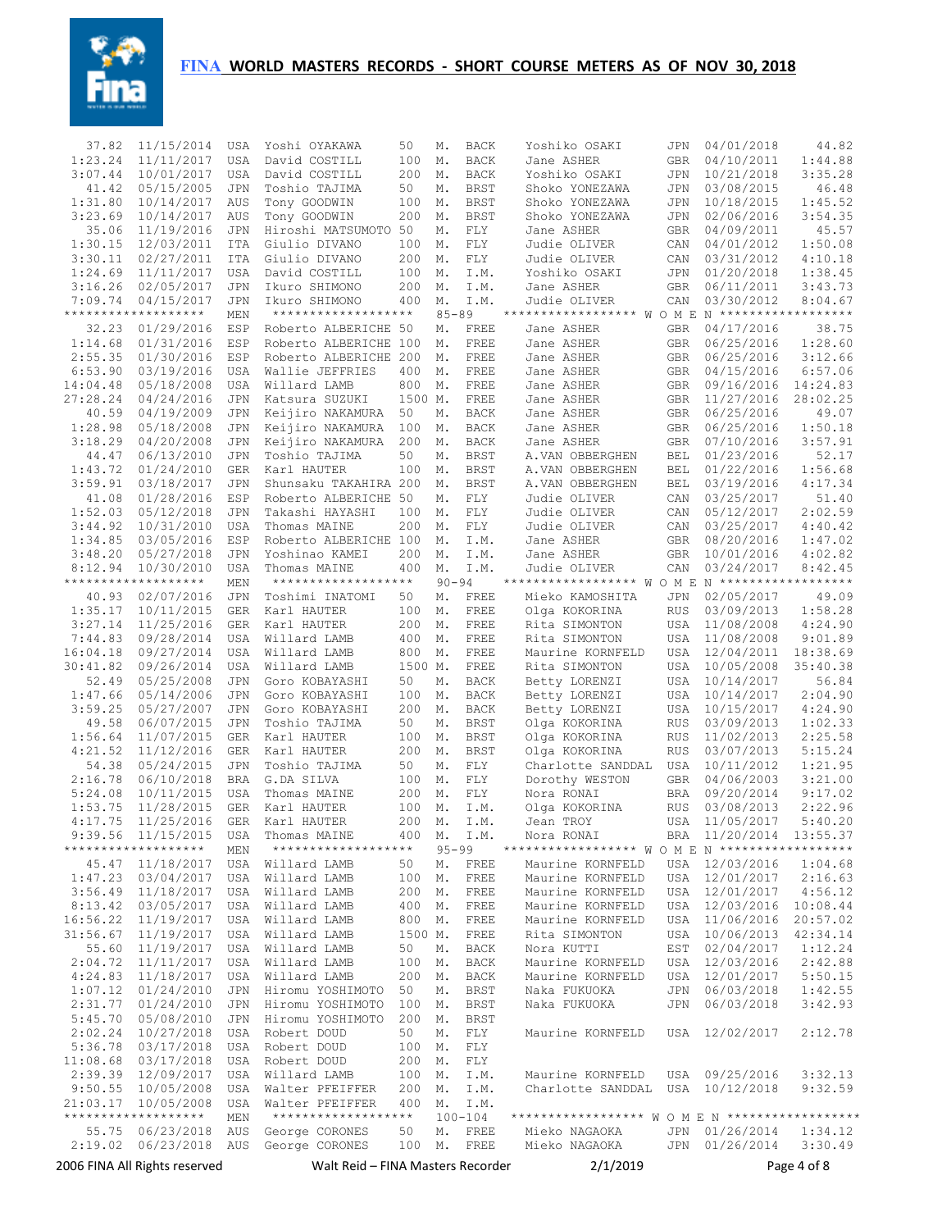

|                    | 2006 FINA All Rights reserved            |                          | Walt Reid – FINA Masters Recorder    |            |           |                           | 2/1/2019                                         |                   |                          | Page 4 of 8        |
|--------------------|------------------------------------------|--------------------------|--------------------------------------|------------|-----------|---------------------------|--------------------------------------------------|-------------------|--------------------------|--------------------|
|                    | 2:19.02 06/23/2018                       |                          | AUS George CORONES                   | 100 M.     |           | FREE                      | Mieko NAGAOKA                                    |                   | JPN 01/26/2014           | 3:30.49            |
| 55.75              | 06/23/2018                               | AUS                      | George CORONES                       | 50         | М.        | FREE                      | Mieko NAGAOKA                                    | JPN               | 01/26/2014               | 1:34.12            |
|                    | *******************                      | MEN                      | *******************                  |            |           | $100 - 104$               |                                                  |                   |                          |                    |
|                    | 21:03.17 10/05/2008                      | USA                      | Walter PFEIFFER                      | 400        | М.        | I.M.                      |                                                  |                   |                          |                    |
|                    | 9:50.55 10/05/2008                       | USA                      | Walter PFEIFFER                      | 200        | М.        | I.M.                      | Charlotte SANDDAL                                |                   | USA 10/12/2018           | 9:32.59            |
|                    | 2:39.39 12/09/2017                       | USA                      | Willard LAMB                         | 100        | М.        | I.M.                      | Maurine KORNFELD                                 |                   | USA 09/25/2016           | 3:32.13            |
|                    | 11:08.68 03/17/2018                      | USA                      | Robert DOUD                          | 200        | М.        | FLY                       |                                                  |                   |                          |                    |
|                    | 5:36.78 03/17/2018                       |                          | USA Robert DOUD                      | 100        | М.        | FLY                       |                                                  |                   |                          |                    |
| 2:02.24            | 10/27/2018                               |                          | USA Robert DOUD                      | 50         | М.        | FLY                       | Maurine KORNFELD                                 |                   | USA 12/02/2017           | 2:12.78            |
|                    | 2:31.77 01/24/2010<br>5:45.70 05/08/2010 | JPN                      | JPN Hiromu YOSHIMOTO                 | 100<br>200 | М.<br>М.  | BRST<br>BRST              | Naka FUKUOKA                                     | JPN               |                          | 3:42.93            |
|                    | $1:07.12$ $01/24/2010$                   | JPN                      | Hiromu YOSHIMOTO<br>Hiromu YOSHIMOTO | 50         | М.        | <b>BRST</b>               | Naka FUKUOKA                                     | JPN               | 06/03/2018<br>06/03/2018 | 1:42.55            |
|                    | 4:24.83 11/18/2017                       | USA                      | Willard LAMB                         | 200        | М.        | BACK                      | Maurine KORNFELD                                 | USA               | 12/01/2017               | 5:50.15            |
|                    | $2:04.72$ $11/11/2017$                   | USA                      | Willard LAMB                         | 100        | М.        | BACK                      | Maurine KORNFELD                                 |                   | USA 12/03/2016           | 2:42.88            |
|                    | 55.60 11/19/2017                         | USA                      | Willard LAMB                         | 50         | М.        | BACK                      | Nora KUTTI                                       |                   | EST 02/04/2017           | 1:12.24            |
|                    | 31:56.67 11/19/2017                      | USA                      | Willard LAMB                         | 1500 M.    |           | FREE                      | Rita SIMONTON                                    |                   | USA 10/06/2013           | 42:34.14           |
|                    | 16:56.22 11/19/2017                      | USA                      | Willard LAMB                         | 800        | М.        | FREE                      | Maurine KORNFELD                                 |                   | USA 11/06/2016           | 20:57.02           |
|                    | 8:13.42 03/05/2017                       | USA                      | Willard LAMB                         | 400        | М.        | FREE                      | Maurine KORNFELD                                 |                   | USA 12/03/2016           | 10:08.44           |
|                    | 3:56.49 11/18/2017                       | USA                      | Willard LAMB                         | 200        | М.        | FREE                      | Maurine KORNFELD                                 |                   | USA 12/01/2017           | 4:56.12            |
|                    | 1:47.23 03/04/2017                       | USA                      | Willard LAMB                         | 100        | М.        | FREE                      | Maurine KORNFELD                                 |                   | USA 12/01/2017           | 2:16.63            |
|                    | 45.47 11/18/2017                         |                          | USA Willard LAMB                     | 50         | М.        | FREE                      | Maurine KORNFELD                                 |                   | USA 12/03/2016           | 1:04.68            |
|                    | *******************                      | MEN                      | *******************                  |            | $95 - 99$ |                           | ****************** W O M E N ******************* |                   |                          |                    |
|                    | 9:39.56 11/15/2015                       | USA                      | Thomas MAINE                         | 400        | М.        | I.M.                      | Nora RONAI                                       |                   | BRA 11/20/2014 13:55.37  |                    |
| 4:17.75            | 11/25/2016                               | <b>GER</b>               | Karl HAUTER                          | 200        | Μ.        | I.M.                      | Jean TROY                                        | <b>USA</b>        | 11/05/2017               | 5:40.20            |
| 1:53.75            | 11/28/2015                               | GER                      | Karl HAUTER                          | 100        | М.        | I.M.                      | Olga KOKORINA                                    | RUS               | 03/08/2013               | 2:22.96            |
| 5:24.08            | 10/11/2015                               | USA                      | Thomas MAINE                         | 200        | М.        | FLY                       | Nora RONAI                                       | BRA               | 09/20/2014               | 9:17.02            |
| 2:16.78            | 06/10/2018                               | <b>BRA</b>               | G.DA SILVA                           | 100        | М.        | FLY                       | Dorothy WESTON                                   | <b>GBR</b>        | 04/06/2003               | 3:21.00            |
| 4:21.52<br>54.38   | 11/12/2016<br>05/24/2015                 | GER<br>JPN               | Karl HAUTER<br>Toshio TAJIMA         | 200<br>50  | М.<br>М.  | <b>BRST</b><br><b>FLY</b> | Olga KOKORINA<br>Charlotte SANDDAL               | <b>RUS</b><br>USA | 03/07/2013<br>10/11/2012 | 5:15.24<br>1:21.95 |
| 1:56.64            | 11/07/2015                               | <b>GER</b>               | Karl HAUTER                          | 100        | М.        | <b>BRST</b>               | Olga KOKORINA                                    | RUS               | 11/02/2013               | 2:25.58            |
| 49.58              | 06/07/2015                               | JPN                      | Toshio TAJIMA                        | 50         | М.        | BRST                      | Olga KOKORINA                                    | RUS               | 03/09/2013               | 1:02.33            |
| 3:59.25            | 05/27/2007                               | JPN                      | Goro KOBAYASHI                       | 200        | М.        | BACK                      | Betty LORENZI                                    | USA               | 10/15/2017               | 4:24.90            |
| 1:47.66            | 05/14/2006                               | JPN                      | Goro KOBAYASHI                       | 100        | М.        | BACK                      | Betty LORENZI                                    | USA               | 10/14/2017               | 2:04.90            |
| 52.49              | 05/25/2008                               | JPN                      | Goro KOBAYASHI                       | 50         | М.        | BACK                      | Betty LORENZI                                    | USA               | 10/14/2017               | 56.84              |
| 30:41.82           | 09/26/2014                               | <b>USA</b>               | Willard LAMB                         | 1500 M.    |           | FREE                      | Rita SIMONTON                                    | <b>USA</b>        | 10/05/2008               | 35:40.38           |
| 16:04.18           | 09/27/2014                               | <b>USA</b>               | Willard LAMB                         | 800        | Μ.        | FREE                      | Maurine KORNFELD                                 | <b>USA</b>        | 12/04/2011               | 18:38.69           |
| 7:44.83            | 09/28/2014                               | <b>USA</b>               | Willard LAMB                         | 400        | Μ.        | FREE                      | Rita SIMONTON                                    | <b>USA</b>        | 11/08/2008               | 9:01.89            |
| 3:27.14            | 11/25/2016                               | <b>GER</b>               | Karl HAUTER                          | 200        | Μ.        | FREE                      | Rita SIMONTON                                    | <b>USA</b>        | 11/08/2008               | 4:24.90            |
| 1:35.17            | 10/11/2015                               | <b>GER</b>               | Karl HAUTER                          | 100        | Μ.        | FREE                      | Olga KOKORINA                                    | <b>RUS</b>        | 03/09/2013               | 1:58.28            |
| 40.93              | 02/07/2016                               | <b>JPN</b>               | Toshimi INATOMI                      | 50         | М.        | FREE                      | Mieko KAMOSHITA                                  | JPN               | 02/05/2017               | 49.09              |
|                    | *******************                      | MEN                      | *******************                  |            | $90 - 94$ |                           | ****************** W O M E N ******************* |                   |                          |                    |
| 8:12.94            | 10/30/2010                               | <b>USA</b>               | Thomas MAINE                         | 400        | Μ.        | I.M.                      | Judie OLIVER                                     | CAN               | 03/24/2017               | 8:42.45            |
| 3:48.20            | 05/27/2018                               | <b>JPN</b>               | Yoshinao KAMEI                       | 200        | М.        | I.M.                      | Jane ASHER                                       | <b>GBR</b>        | 10/01/2016               | 4:02.82            |
| 1:34.85            | 03/05/2016                               | ESP                      | Roberto ALBERICHE 100                |            | М.        | I.M.                      | Jane ASHER                                       | <b>GBR</b>        | 08/20/2016               | 1:47.02            |
| 3:44.92            | 10/31/2010                               | <b>USA</b>               | Thomas MAINE                         | 200        | Μ.        | FLY                       | Judie OLIVER                                     | CAN               | 03/25/2017               | 4:40.42            |
| 1:52.03            | 05/12/2018                               | <b>JPN</b>               | Takashi HAYASHI                      | 100        | Μ.        | FLY                       | Judie OLIVER                                     | CAN               | 05/12/2017               | 2:02.59            |
| 41.08              | 01/28/2016                               | ESP                      | Roberto ALBERICHE 50                 |            | М.        | FLY                       | Judie OLIVER                                     | CAN               | 03/25/2017               | 51.40              |
| 3:59.91            | 03/18/2017                               | JPN                      | Shunsaku TAKAHIRA 200                |            | Μ.        | <b>BRST</b>               | A.VAN OBBERGHEN                                  | <b>BEL</b>        | 03/19/2016               | 4:17.34            |
| 1:43.72            | 01/24/2010                               | <b>GER</b>               | Karl HAUTER                          | 100        | Μ.        | <b>BRST</b>               | A.VAN OBBERGHEN                                  | BEL               | 01/22/2016               | 1:56.68            |
| 3:18.29<br>44.47   | 04/20/2008<br>06/13/2010                 | <b>JPN</b><br><b>JPN</b> | Keijiro NAKAMURA<br>Toshio TAJIMA    | 200<br>50  | М.<br>М.  | BACK<br><b>BRST</b>       | Jane ASHER<br>A.VAN OBBERGHEN                    | <b>GBR</b><br>BEL | 07/10/2016<br>01/23/2016 | 3:57.91<br>52.17   |
| 1:28.98            | 05/18/2008                               | <b>JPN</b>               | Keijiro NAKAMURA                     | 100        | Μ.        | <b>BACK</b>               | Jane ASHER                                       | <b>GBR</b>        | 06/25/2016               | 1:50.18            |
| 40.59              | 04/19/2009                               | <b>JPN</b>               | Keijiro NAKAMURA                     | 50         | М.        | <b>BACK</b>               | Jane ASHER                                       | <b>GBR</b>        | 06/25/2016               | 49.07              |
| 27:28.24           | 04/24/2016                               | JPN                      | Katsura SUZUKI                       | 1500 M.    |           | FREE                      | Jane ASHER                                       | GBR               | 11/27/2016               | 28:02.25           |
| 14:04.48           | 05/18/2008                               | <b>USA</b>               | Willard LAMB                         | 800        | Μ.        | FREE                      | Jane ASHER                                       | GBR               | 09/16/2016               | 14:24.83           |
| 6:53.90            | 03/19/2016                               | <b>USA</b>               | Wallie JEFFRIES                      | 400        | М.        | FREE                      | Jane ASHER                                       | GBR               | 04/15/2016               | 6:57.06            |
| 2:55.35            | 01/30/2016                               | ESP                      | Roberto ALBERICHE 200                |            | М.        | FREE                      | Jane ASHER                                       | GBR               | 06/25/2016               | 3:12.66            |
| 1:14.68            | 01/31/2016                               | ESP                      | Roberto ALBERICHE 100                |            | Μ.        | FREE                      | Jane ASHER                                       | GBR               | 06/25/2016               | 1:28.60            |
| 32.23              | 01/29/2016                               | ESP                      | Roberto ALBERICHE 50                 |            | М.        | FREE                      | Jane ASHER                                       | <b>GBR</b>        | 04/17/2016               | 38.75              |
|                    | *******************                      | MEN                      | *******************                  |            | $85 - 89$ |                           | ****************** WOME                          |                   | $N$ *******************  |                    |
| 7:09.74            | 04/15/2017                               | JPN                      | Ikuro SHIMONO                        | 400        | Μ.        | I.M.                      | Judie OLIVER                                     | CAN               | 03/30/2012               | 8:04.67            |
| 3:16.26            | 02/05/2017                               | JPN                      | Ikuro SHIMONO                        | 200        | Μ.        | I.M.                      | Jane ASHER                                       | GBR               | 06/11/2011               | 3:43.73            |
| 1:24.69            | 11/11/2017                               | <b>USA</b>               | David COSTILL                        | 100        | Μ.        | I.M.                      | Yoshiko OSAKI                                    | CAN<br>JPN        | 01/20/2018               | 1:38.45            |
| 1:30.15<br>3:30.11 | 12/03/2011<br>02/27/2011                 | <b>ITA</b><br><b>ITA</b> | Giulio DIVANO<br>Giulio DIVANO       | 100<br>200 | Μ.<br>М.  | FLY<br>FLY                | Judie OLIVER<br>Judie OLIVER                     | CAN               | 04/01/2012<br>03/31/2012 | 1:50.08<br>4:10.18 |
| 35.06              | 11/19/2016                               | <b>JPN</b>               | Hiroshi MATSUMOTO 50                 |            | Μ.        | FLY                       | Jane ASHER                                       | <b>GBR</b>        | 04/09/2011               | 45.57              |
| 3:23.69            | 10/14/2017                               | AUS                      | Tony GOODWIN                         | 200        | Μ.        | <b>BRST</b>               | Shoko YONEZAWA                                   | <b>JPN</b>        | 02/06/2016               | 3:54.35            |
| 1:31.80            | 10/14/2017                               | AUS                      | Tony GOODWIN                         | 100        | Μ.        | <b>BRST</b>               | Shoko YONEZAWA                                   | <b>JPN</b>        | 10/18/2015               | 1:45.52            |
| 41.42              | 05/15/2005                               | <b>JPN</b>               | Toshio TAJIMA                        | 50         | М.        | <b>BRST</b>               | Shoko YONEZAWA                                   | <b>JPN</b>        | 03/08/2015               | 46.48              |
| 3:07.44            | 10/01/2017                               | <b>USA</b>               | David COSTILL                        | 200        | М.        | <b>BACK</b>               | Yoshiko OSAKI                                    | <b>JPN</b>        | 10/21/2018               | 3:35.28            |
| 1:23.24            | 11/11/2017                               | <b>USA</b>               | David COSTILL                        | 100        | М.        | <b>BACK</b>               | Jane ASHER                                       | <b>GBR</b>        | 04/10/2011               | 1:44.88            |
| 37.82              | 11/15/2014                               | USA                      | Yoshi OYAKAWA                        | 50         | М.        | <b>BACK</b>               | Yoshiko OSAKI                                    | JPN               | 04/01/2018               | 44.82              |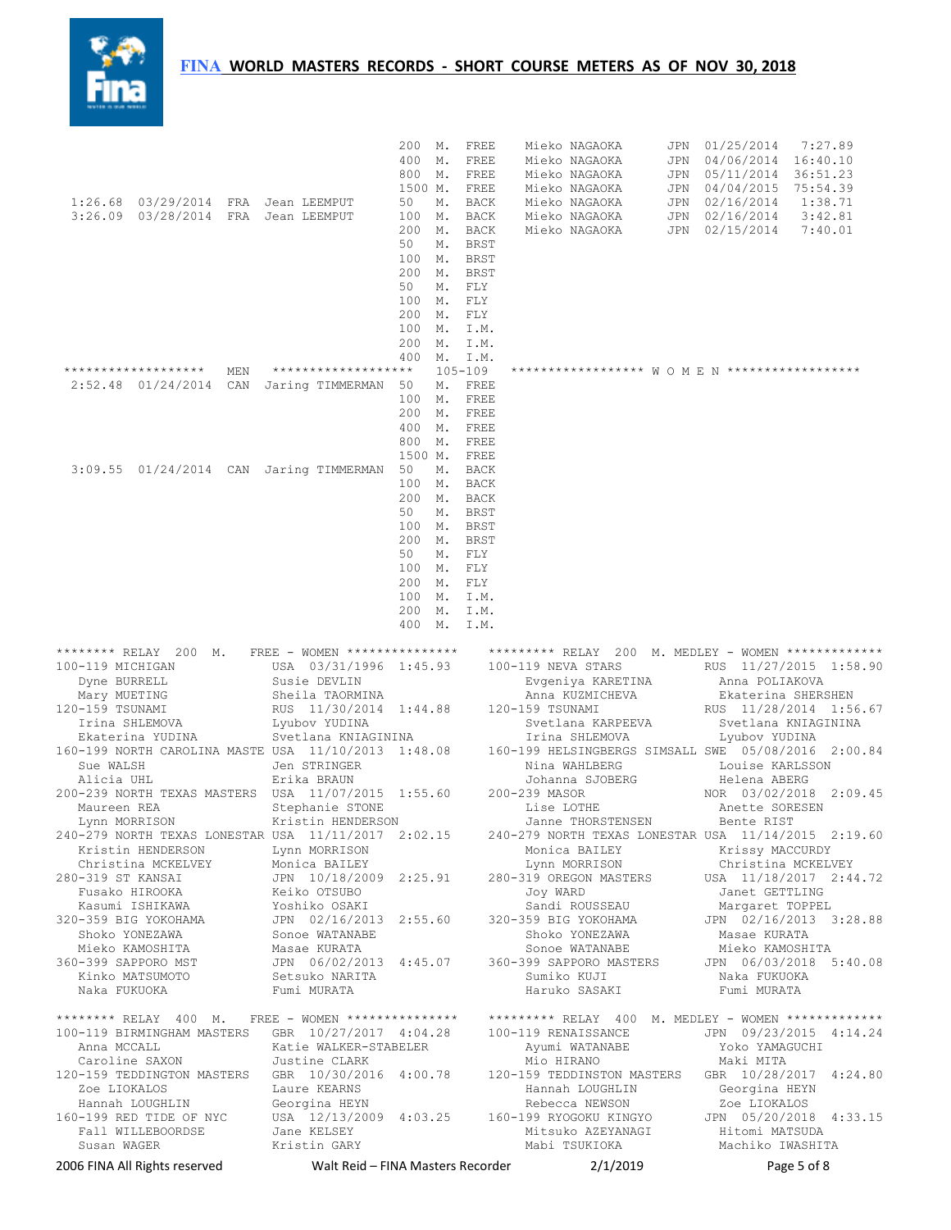## **FINA** WORLD MASTERS RECORDS - SHORT COURSE METERS AS OF NOV 30, 2018



|                                                        |     |                                                                                        | 200 M.<br>400<br>М.    | FREE<br>FREE               | Mieko NAGAOKA<br>Mieko NAGAOKA                                                                                                                         | JPN<br>JPN | 01/25/2014<br>7:27.89<br>04/06/2014<br>16:40.10    |  |
|--------------------------------------------------------|-----|----------------------------------------------------------------------------------------|------------------------|----------------------------|--------------------------------------------------------------------------------------------------------------------------------------------------------|------------|----------------------------------------------------|--|
|                                                        |     |                                                                                        | 800<br>М.              | FREE                       | Mieko NAGAOKA                                                                                                                                          | JPN        | 05/11/2014 36:51.23                                |  |
| 1:26.68 03/29/2014 FRA Jean LEEMPUT                    |     |                                                                                        | 1500 M.<br>50<br>М.    | FREE                       | Mieko NAGAOKA                                                                                                                                          | JPN        | 04/04/2015<br>75:54.39                             |  |
| 3:26.09 03/28/2014 FRA Jean LEEMPUT                    |     |                                                                                        | 100<br>М.              | BACK<br>BACK               | Mieko NAGAOKA<br>Mieko NAGAOKA                                                                                                                         | JPN        | JPN 02/16/2014<br>1:38.71<br>02/16/2014<br>3:42.81 |  |
|                                                        |     |                                                                                        | 200<br>М.              | <b>BACK</b>                | Mieko NAGAOKA                                                                                                                                          | JPN        | 02/15/2014<br>7:40.01                              |  |
|                                                        |     |                                                                                        | 50<br>М.               | <b>BRST</b>                |                                                                                                                                                        |            |                                                    |  |
|                                                        |     |                                                                                        | 100<br>М.<br>200<br>М. | <b>BRST</b><br><b>BRST</b> |                                                                                                                                                        |            |                                                    |  |
|                                                        |     |                                                                                        | 50                     | M. FLY                     |                                                                                                                                                        |            |                                                    |  |
|                                                        |     |                                                                                        | 100<br>М.              | FLY                        |                                                                                                                                                        |            |                                                    |  |
|                                                        |     |                                                                                        | 200<br>100<br>М.       | M. FLY<br>I.M.             |                                                                                                                                                        |            |                                                    |  |
|                                                        |     |                                                                                        | 200<br>М.              | I.M.                       |                                                                                                                                                        |            |                                                    |  |
| *******************                                    | MEN | *******************                                                                    | 400<br>М.              | I.M.<br>$105 - 109$        | ****************** W O M E N ******************                                                                                                        |            |                                                    |  |
| 2:52.48 01/24/2014                                     |     | CAN Jaring TIMMERMAN                                                                   | М.<br>50               | FREE                       |                                                                                                                                                        |            |                                                    |  |
|                                                        |     |                                                                                        | 100<br>М.              | FREE                       |                                                                                                                                                        |            |                                                    |  |
|                                                        |     |                                                                                        | 200<br>М.              | FREE                       |                                                                                                                                                        |            |                                                    |  |
|                                                        |     |                                                                                        | 400<br>М.<br>800<br>М. | FREE<br>FREE               |                                                                                                                                                        |            |                                                    |  |
|                                                        |     |                                                                                        | 1500 M.                | FREE                       |                                                                                                                                                        |            |                                                    |  |
|                                                        |     | 3:09.55 01/24/2014 CAN Jaring TIMMERMAN                                                | 50<br>М.               | BACK                       |                                                                                                                                                        |            |                                                    |  |
|                                                        |     |                                                                                        | 100<br>М.<br>200<br>М. | BACK<br><b>BACK</b>        |                                                                                                                                                        |            |                                                    |  |
|                                                        |     |                                                                                        | 50<br>М.               | <b>BRST</b>                |                                                                                                                                                        |            |                                                    |  |
|                                                        |     |                                                                                        | 100<br>$M_{\star}$     | <b>BRST</b>                |                                                                                                                                                        |            |                                                    |  |
|                                                        |     |                                                                                        | 200 M.<br>50<br>М.     | BRST<br>FLY                |                                                                                                                                                        |            |                                                    |  |
|                                                        |     |                                                                                        | 100 M. FLY             |                            |                                                                                                                                                        |            |                                                    |  |
|                                                        |     |                                                                                        | 200<br>$M_{\star}$     | FLY                        |                                                                                                                                                        |            |                                                    |  |
|                                                        |     |                                                                                        | 100<br>М.<br>200<br>М. | I.M.<br>I.M.               |                                                                                                                                                        |            |                                                    |  |
|                                                        |     |                                                                                        | 400<br>М.              | I.M.                       |                                                                                                                                                        |            |                                                    |  |
|                                                        |     |                                                                                        |                        |                            |                                                                                                                                                        |            |                                                    |  |
| ******** RELAY 200 M.<br>100-119 MICHIGAN              |     | FREE - WOMEN ****************<br>USA 03/31/1996 1:45.93                                |                        |                            | ********* RELAY 200 M. MEDLEY - WOMEN *************<br>100-119 NEVA STARS                                                                              |            | RUS 11/27/2015 1:58.90                             |  |
| Dyne BURRELL                                           |     | Susie DEVLIN                                                                           |                        |                            | Evgeniya KARETINA                                                                                                                                      |            | Anna POLIAKOVA                                     |  |
| Mary MUETING<br>120-159 TSUNAMI                        |     | Sheila TAORMINA<br>RUS 11/30/2014 1:44.88                                              |                        |                            | Anna KUZMICHEVA<br>120-159 TSUNAMI                                                                                                                     |            | Ekaterina SHERSHEN<br>RUS 11/28/2014 1:56.67       |  |
| Irina SHLEMOVA                                         |     | Lyubov YUDINA                                                                          |                        |                            |                                                                                                                                                        |            |                                                    |  |
| Ekaterina YUDINA                                       |     |                                                                                        |                        |                            | Svetlana KARPEEVA                                                                                                                                      |            | Svetlana KNIAGININA                                |  |
| Sue WALSH                                              |     | Svetlana KNIAGININA                                                                    |                        |                            | Irina SHLEMOVA                                                                                                                                         |            | Lyubov YUDINA                                      |  |
|                                                        |     | 160-199 NORTH CAROLINA MASTE USA 11/10/2013 1:48.08                                    |                        |                            | 160-199 HELSINGBERGS SIMSALL SWE 05/08/2016 2:00.84                                                                                                    |            |                                                    |  |
| Alicia UHL                                             |     | Jen STRINGER<br>Erika BRAUN                                                            |                        |                            | Nina WAHLBERG<br>Johanna SJOBERG                                                                                                                       |            | Louise KARLSSON<br>Helena ABERG                    |  |
|                                                        |     | 200-239 NORTH TEXAS MASTERS USA 11/07/2015 1:55.60                                     |                        |                            | 200-239 MASOR                                                                                                                                          |            | NOR 03/02/2018 2:09.45                             |  |
| Maureen REA                                            |     | Stephanie STONE                                                                        |                        |                            | Lise LOTHE                                                                                                                                             |            | Anette SORESEN                                     |  |
| Lynn MORRISON                                          |     | Kristin HENDERSON<br>240-279 NORTH TEXAS LONESTAR USA 11/11/2017 2:02.15               |                        |                            | Janne THORSTENSEN<br>240-279 NORTH TEXAS LONESTAR USA 11/14/2015 2:19.60                                                                               |            | Bente RIST                                         |  |
| Kristin HENDERSON                                      |     | Lynn MORRISON                                                                          |                        |                            | Monica BAILEY                                                                                                                                          |            | Krissy MACCURDY                                    |  |
|                                                        |     |                                                                                        |                        |                            | Lynn MORRISON                                                                                                                                          |            | Christina MCKELVEY                                 |  |
| 280-319 ST KANSAI<br>Fusako HIROOKA                    |     | Christina MCKELVEY Monica BAILEY<br>1-319 ST KANSAI 10/18/2009 2:25.91<br>Keiko OTSUBO |                        |                            | 280-319 OREGON MASTERS USA 11/18/2017 2:44.72<br>Joy WARD                                                                                              |            | Janet GETTLING                                     |  |
| Kasumi ISHIKAWA                                        |     |                                                                                        |                        |                            | Sandi ROUSSEAU                                                                                                                                         |            | Margaret TOPPEL                                    |  |
| 320-359 BIG YOKOHAMA                                   |     | Yoshiko OSAKI<br>JPN 02/16/2013 2:55.60                                                |                        |                            | 320-359 BIG YOKOHAMA                                                                                                                                   |            | JPN 02/16/2013 3:28.88                             |  |
| Shoko YONEZAWA<br>Mieko KAMOSHITA                      |     | Sonoe WATANABE<br>Masae KURATA                                                         |                        |                            | Shoko YONEZAWA<br>Sonoe WATANABE                                                                                                                       |            | Masae KURATA<br>Mieko KAMOSHITA                    |  |
|                                                        |     | JPN 06/02/2013 4:45.07                                                                 |                        |                            | 360-399 SAPPORO MASTERS JPN 06/03/2018 5:40.08                                                                                                         |            |                                                    |  |
| 360-399 SAPPORO MST<br>Kinko MATSUMOTO<br>Naka FUKUOKA |     |                                                                                        |                        |                            | Sumiko KUJI<br>Haruko SASAKI                                                                                                                           |            | Naka FUKUOKA<br>Fumi MURATA                        |  |
|                                                        |     | JPN vorse.<br>Setsuko NARITA<br>Alimpata                                               |                        |                            |                                                                                                                                                        |            |                                                    |  |
|                                                        |     | ******** RELAY 400 M. FREE - WOMEN ***************                                     |                        |                            | ********* RELAY 400 M. MEDLEY - WOMEN *************                                                                                                    |            |                                                    |  |
| Anna MCCALL                                            |     | Katie WALKER-STABELER                                                                  |                        |                            | 100-119 BIRMINGHAM MASTERS GBR 10/27/2017 4:04.28 100-119 RENAISSANCE<br>Ayumi WATANABE                                                                |            | JPN 09/23/2015 4:14.24<br>Yoko YAMAGUCHI           |  |
| Caroline SAXON                                         |     | Justine CLARK                                                                          |                        |                            | Mio HIRANO                                                                                                                                             |            | Maki MITA                                          |  |
|                                                        |     | 120-159 TEDDINGTON MASTERS GBR 10/30/2016 4:00.78                                      |                        |                            | 120-159 TEDDINSTON MASTERS GBR 10/28/2017 4:24.80                                                                                                      |            |                                                    |  |
| Zoe LIOKALOS                                           |     | Laure KEARNS                                                                           |                        |                            | Hannah LOUGHLIN                                                                                                                                        |            | Georgina HEYN                                      |  |
| 160-199 RED TIDE OF NYC                                |     |                                                                                        |                        |                            | Hannah LOUGHLIN Georgina HEYN Rebecca NEWSON Zoe LIOKALOS<br>-199 RED TIDE OF NYC USA 12/13/2009 4:03.25 160-199 RYOGOKU KINGYO JPN 05/20/2018 4:33.15 |            |                                                    |  |
| Fall WILLEBOORDSE                                      |     | Jane KELSEY                                                                            |                        |                            | Mitsuko AZEYANAGI                                                                                                                                      |            | Hitomi MATSUDA                                     |  |
| Susan WAGER<br>2006 FINA All Rights reserved           |     | Kristin GARY<br>Walt Reid - FINA Masters Recorder                                      |                        |                            | Mabi TSUKIOKA<br>2/1/2019                                                                                                                              |            | Machiko IWASHITA<br>Page 5 of 8                    |  |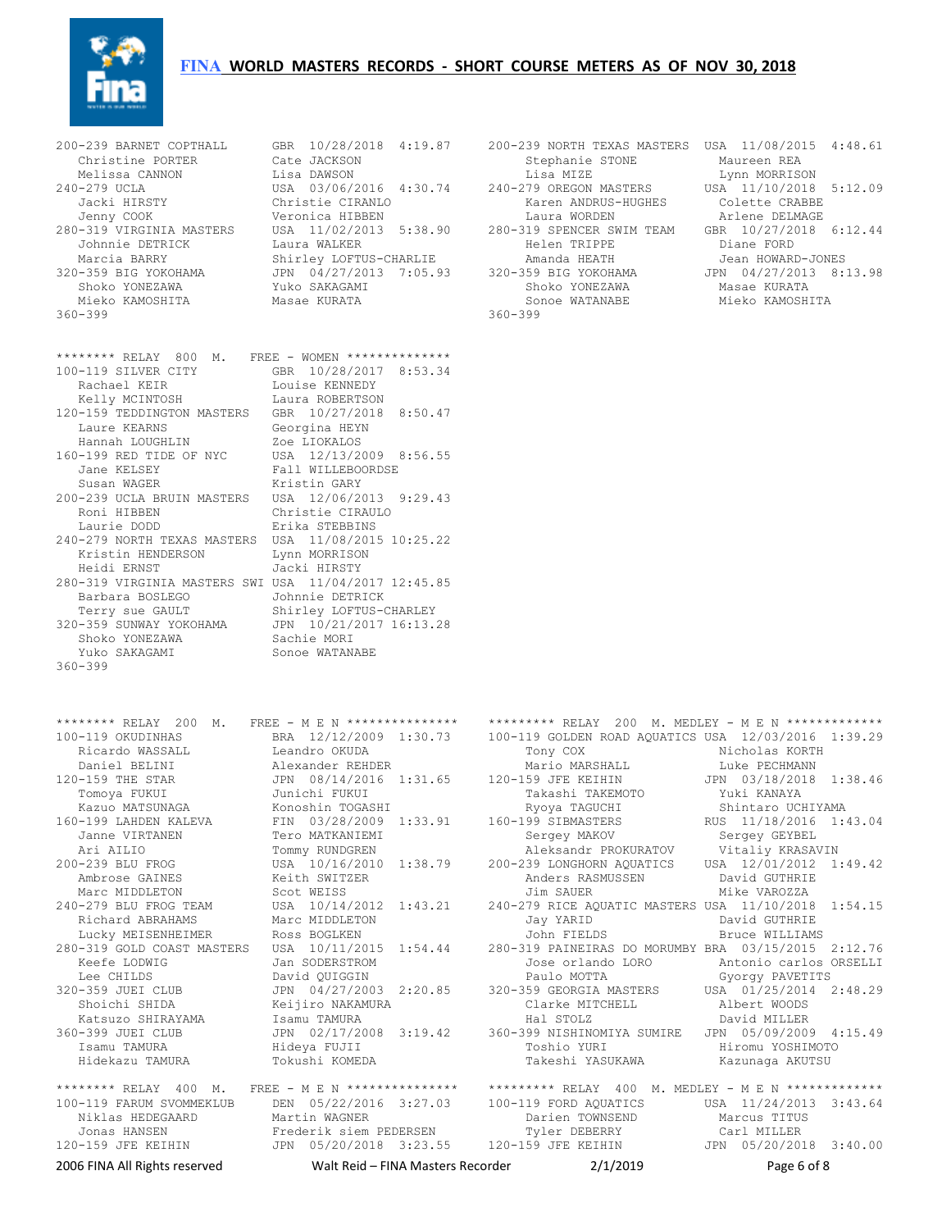## **FINA WORLD MASTERS RECORDS - SHORT COURSE METERS AS OF NOV 30, 2018**



360-399 360-399

| ******** RELAY 800 M. FREE - WOMEN **************    |                         |
|------------------------------------------------------|-------------------------|
| 100-119 SILVER CITY                                  | GBR 10/28/2017 8:53.34  |
| Rachael KEIR                                         | Louise KENNEDY          |
| Kelly MCINTOSH                                       | Laura ROBERTSON         |
| 120-159 TEDDINGTON MASTERS                           | GBR 10/27/2018 8:50.47  |
| Laure KEARNS                                         | Georgina HEYN           |
| Hannah LOUGHLIN                                      | Zoe LIOKALOS            |
| 160-199 RED TIDE OF NYC                              | USA 12/13/2009 8:56.55  |
| Jane KELSEY                                          | Fall WILLEBOORDSE       |
| Susan WAGER                                          | Kristin GARY            |
| 200-239 UCLA BRUIN MASTERS                           | USA 12/06/2013 9:29.43  |
| Roni HIBBEN                                          | Christie CIRAULO        |
| Laurie DODD                                          | Erika STEBBINS          |
| 240-279 NORTH TEXAS MASTERS USA 11/08/2015 10:25.22  |                         |
| Kristin HENDERSON                                    | Lynn MORRISON           |
| Heidi ERNST                                          | Jacki HIRSTY            |
| 280-319 VIRGINIA MASTERS SWI USA 11/04/2017 12:45.85 |                         |
| Barbara BOSLEGO                                      | Johnnie DETRICK         |
| Terry sue GAULT                                      | Shirley LOFTUS-CHARLEY  |
| 320-359 SUNWAY YOKOHAMA                              | JPN 10/21/2017 16:13.28 |
| Shoko YONEZAWA                                       | Sachie MORI             |
| Yuko SAKAGAMI                                        | Sonoe WATANABE          |
| $360 - 399$                                          |                         |

```
200-239 BARNET COPTHALL GBR 10/28/2018 4:19.87 200-239 NORTH TEXAS MASTERS USA 11/08/2015 4:48.61<br>Christine PORTER Cate JACKSON Stephanie STONE Maureen REA<br>Melissa CANNON Lisa MARISON Lisa MIZE DAMARISON Lynn MORRISON
 Christine PORTER Cate JACKSON Stephanie STONE Maureen REA 
 Melissa CANNON Lisa DAWSON Lisa MIZE Lynn MORRISON 
240-279 UCLA USA 03/06/2016 4:30.74 240-279 OREGON MASTERS USA 11/10/2018 5:12.09 
 Jacki HIRSTY Christie CIRANLO Karen ANDRUS-HUGHES Colette CRABBE 
 Jenny COOK Veronica HIBBEN Laura WORDEN Arlene DELMAGE 
280-319 VIRGINIA MASTERS USA 11/02/2013 5:38.90 280-319 SPENCER SWIM TEAM GBR 10/27/2018 6:12.44 
 Johnnie DETRICK Laura WALKER Helen TRIPPE Diane FORD 
Marcia BARRY                 Shirley LOFTUS-CHARLIE               Amanda HEATH              Jean HOWARD-JONES
320-359 BIG YOKOHAMA JPN 04/27/2013 7:05.93 320-359 BIG YOKOHAMA JPN 04/27/2013 8:13.98 
Shoko YONEZAWA               Yuko SAKAGAMI                       Shoko YONEZAWA             Masae KURATA
   Mieko KAMOSHITA Masae KURATA Sonoe WATANABE Mieko KAMOSHITA
```

| 2006 FINA All Rights reserved | Walt Reid - FINA Masters Recorder                  | 2/1/2019                                                                                               | Page 6 of 8            |
|-------------------------------|----------------------------------------------------|--------------------------------------------------------------------------------------------------------|------------------------|
| 120-159 JFE KEIHIN            | JPN 05/20/2018 3:23.55                             | 120-159 JFE KEIHIN                                                                                     | JPN 05/20/2018 3:40.00 |
| Jonas HANSEN                  | Frederik siem PEDERSEN                             | Tyler DEBERRY                                                                                          | Carl MILLER            |
| Niklas HEDEGAARD              | Martin WAGNER                                      | Darien TOWNSEND                                                                                        | Marcus TITUS           |
| 100-119 FARUM SVOMMEKLUB      | DEN 05/22/2016 3:27.03                             | 100-119 FORD AQUATICS                                                                                  | USA 11/24/2013 3:43.64 |
|                               | ******** RELAY 400 M. FREE - M E N *************** | ********* RELAY 400 M. MEDLEY - M E N *************                                                    |                        |
| Hidekazu TAMURA               | Tokushi KOMEDA                                     | Takeshi YASUKAWA                                                                                       | Kazunaga AKUTSU        |
| Isamu TAMURA                  | Hideya FUJII                                       | Toshio YURI                                                                                            | Hiromu YOSHIMOTO       |
| 360-399 JUEI CLUB             | JPN 02/17/2008 3:19.42                             | 360-399 NISHINOMIYA SUMIRE JPN 05/09/2009 4:15.49                                                      |                        |
| Katsuzo SHIRAYAMA             | Isamu TAMURA                                       | Hal STOLZ                                                                                              | David MILLER           |
| Shoichi SHIDA                 | Keijiro NAKAMURA                                   | Clarke MITCHELL                                                                                        | Albert WOODS           |
| 320-359 JUEI CLUB             | JPN 04/27/2003 2:20.85                             | 320-359 GEORGIA MASTERS USA 01/25/2014 2:48.29                                                         |                        |
| Lee CHILDS                    | David OUIGGIN                                      | Paulo MOTTA                                                                                            | Gyorgy PAVETITS        |
| Keefe LODWIG                  | Jan SODERSTROM                                     | Jose orlando LORO                                                                                      | Antonio carlos ORSELLI |
| 280-319 GOLD COAST MASTERS    | USA 10/11/2015 1:54.44                             | 280-319 PAINEIRAS DO MORUMBY BRA 03/15/2015 2:12.76                                                    |                        |
| Lucky MEISENHEIMER            | Ross BOGLKEN                                       | John FIELDS                                                                                            | Bruce WILLIAMS         |
| Richard ABRAHAMS              | Marc MIDDLETON                                     | Jay YARID                                                                                              | David GUTHRIE          |
| 240-279 BLU FROG TEAM         | USA 10/14/2012 1:43.21                             | 240-279 RICE AQUATIC MASTERS USA 11/10/2018 1:54.15                                                    |                        |
| Marc MIDDLETON                | Scot WEISS                                         | Jim SAUER                                                                                              | Mike VAROZZA           |
| Ambrose GAINES                | Keith SWITZER                                      | Anders RASMUSSEN                                                                                       | David GUTHRIE          |
| 200-239 BLU FROG              | USA 10/16/2010 1:38.79                             | 200-239 LONGHORN AQUATICS USA 12/01/2012 1:49.42                                                       |                        |
| Ari AILIO                     | Tommy RUNDGREN                                     | Aleksandr PROKURATOV Vitaliy KRASAVIN                                                                  |                        |
| Janne VIRTANEN                | Tero MATKANIEMI                                    | Sergey MAKOV                                                                                           | Sergey GEYBEL          |
| 160-199 LAHDEN KALEVA         | FIN 03/28/2009 1:33.91                             | 160-199 SIBMASTERS                                                                                     | RUS 11/18/2016 1:43.04 |
| Kazuo MATSUNAGA               | Konoshin TOGASHI                                   | Ryoya TAGUCHI                                                                                          | Shintaro UCHIYAMA      |
| Tomoya FUKUI                  | Junichi FUKUI                                      | Takashi TAKEMOTO                                                                                       | Yuki KANAYA            |
| 120-159 THE STAR              | JPN 08/14/2016 1:31.65                             | 120-159 JFE KEIHIN                                                                                     | JPN 03/18/2018 1:38.46 |
| Daniel BELINI                 | Alexander REHDER                                   | Mario MARSHALL                                                                                         | Luke PECHMANN          |
| Ricardo WASSALL               | Leandro OKUDA                                      | Tony COX                                                                                               | Nicholas KORTH         |
| 100-119 OKUDINHAS             | BRA 12/12/2009 1:30.73                             | 100-119 GOLDEN ROAD AQUATICS USA 12/03/2016 1:39.29                                                    |                        |
|                               |                                                    | ******** RELAY 200 M. FREE - M E N *************** ********* RELAY 200 M. MEDLEY - M E N ************* |                        |
| $360 - 399$                   |                                                    |                                                                                                        |                        |
| Yuko SAKAGAMI                 | Sonoe WATANABE                                     |                                                                                                        |                        |
| Shoko YONEZAWA                | Sachie MORI                                        |                                                                                                        |                        |
| 320-359 SUNWAY YOKOHAMA       | JPN 10/21/2017 16:13.28                            |                                                                                                        |                        |
| Terry sue GAULT               | Shirley LOFTUS-CHARLEY                             |                                                                                                        |                        |
| Dalwala DUJIEGU               | AANNITE DETVICI/                                   |                                                                                                        |                        |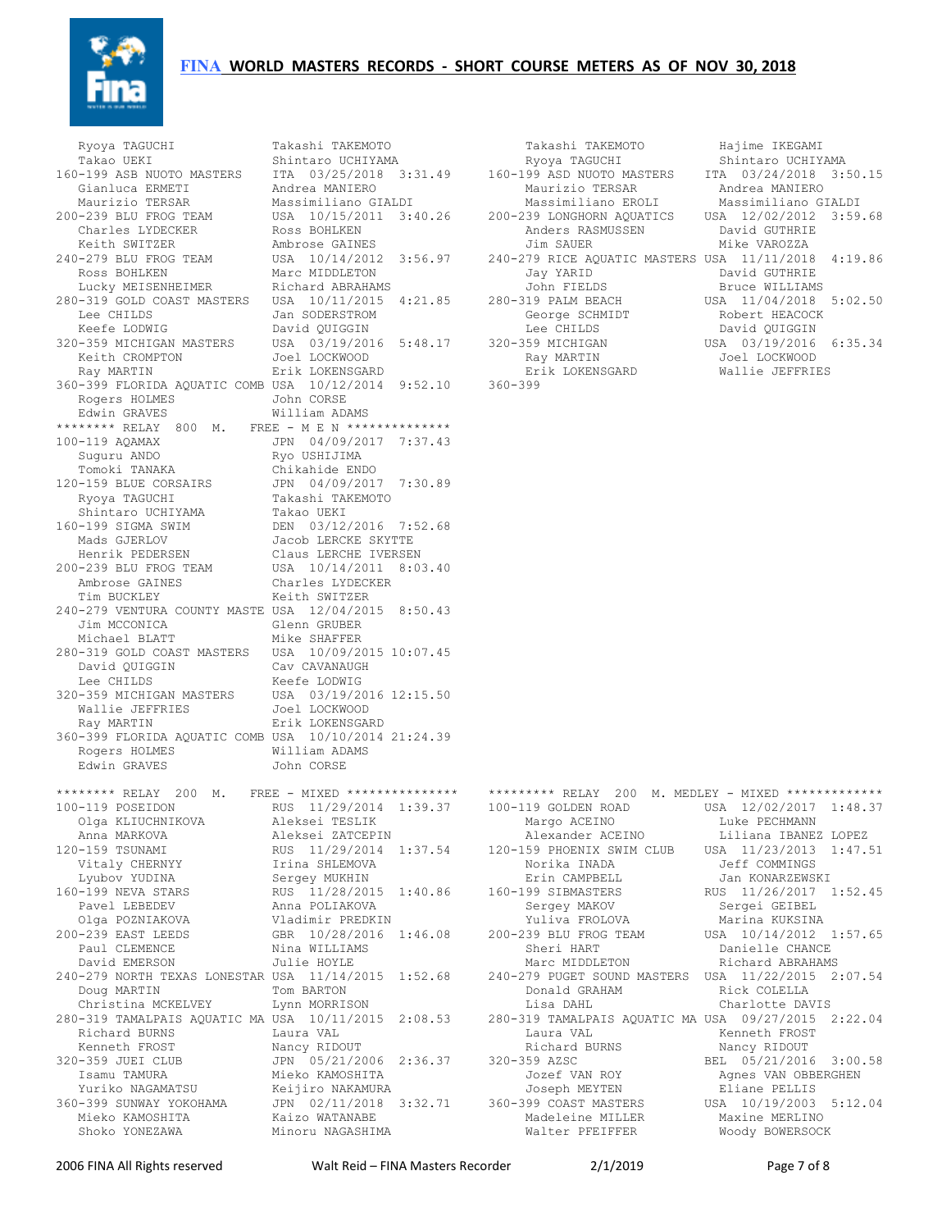



Ryoya TAGUCHI Takashi TAKEMOTO Takashi TAKEMOTO Takashi TAKEMOTO Takashi TAKEMOTO Takashi TAKEGAMI D Shintaro UCHIYAMA Gianluca ERMETI Andrea MANIERO Maurizio TERSAR Andrea MANIERO Charles LYDECKER Ross BOHLKEN Anders RASMUSSEN David GUTHRIE Keith SWITZER Ambrose GAINES Jim SAUER Mike VAROZZA Ross BOHLKEN Marc MIDDLETON Jay YARID David GUTHRIE Lucky MEISENHEIMER Richard ABRAHAMS John FIELDS Bruce WILLIAMS Lee CHILDS Jan SODERSTROM<br>Keefs Johnson Keefe LODWIG David QUIGGIN Lee CHILDS David QUIGGIN Keith CROMPTON Joel LOCKWOOD Ray MARTIN Joel LOCKWOOD Ray MARTIN Erik LOKENSGARD Erik LOKENSGARD Wallie JEFFRIES 360-399 FLORIDA AQUATIC COMB USA 10/12/2014 9:52.10 360-399 Rogers HOLMES **John CORSE**  Edwin GRAVES William ADAMS \*\*\*\*\*\*\*\* RELAY 800 M. FREE - M E N \*\*\*\*\*\*\*\*\*\*\*\*\*\*\* 100-119 AQAMAX JPN 04/09/2017 7:37.43 Suguru ANDO Ryo USHIJIMA Tomoki TANAKA Chikahide ENDO 120-159 BLUE CORSAIRS JPN 04/09/2017 7:30.89 Ryoya TAGUCHI Takashi TAKEMOTO Shintaro UCHIYAMA Takao UEKI 160-199 SIGMA SWIM DEN 03/12/2016 7:52.68 Mads GJERLOV Jacob LERCKE SKYTTE Henrik PEDERSEN Claus LERCHE IVERSEN 200-239 BLU FROG TEAM USA 10/14/2011 8:03.40 Ambrose GAINES Charles LYDECKER Tim BUCKLEY Keith SWITZER 240-279 VENTURA COUNTY MASTE USA 12/04/2015 8:50.43 Jim MCCONICA Glenn GRUBER Michael BLATT Mike SHAFFER 280-319 GOLD COAST MASTERS USA 10/09/2015 10:07.45 David QUIGGIN Cav CAVANAUGH<br>Lee CHILDS Cave CAVANAUGH Lee CHILDS Keefe LODWIG 320-359 MICHIGAN MASTERS USA 03/19/2016 12:15.50 Wallie JEFFRIES Joel LOCKWOOD Ray MARTIN Erik LOKENSGARD 360-399 FLORIDA AQUATIC COMB USA 10/10/2014 21:24.39 Rogers HOLMES William ADAMS Edwin GRAVES John CORSE \*\*\*\*\*\*\*\* RELAY 200 M. FREE - MIXED \*\*\*\*\*\*\*\*\*\*\*\*\*\*\* Olga KLIUCHNIKOVA Aleksei TESLIK Margo ACEINO Luke PECHMANN Vitaly CHERNYY Irina SHLEMOVA Norika INADA Jeff COMMINGS Pavel LEBEDEV Anna POLIAKOVA Sergey MAKOV Sergei GEIBEL Olga POZNIAKOVA Vladimir PREDKIN Yuliva FROLOVA Marina KUKSINA 240-279 NORTH TEXAS LONESTAR USA 11/14/2015 1:52.68 Doug MARTIN Tom BARTON Donald GRAHAM Rick COLELLA 280-319 TAMALPAIS AQUATIC MA USA 10/11/2015 2:08.53 Richard BURNS Laura VAL Laura VAL Kenneth FROST Kenneth FROST Nancy RIDOUT Richard BURNS Nancy RIDOUT 320-359 JUEI CLUB JPN 05/21/2006 2:36.37<br>Isamu TAMURA Mieko KAMOSHITA Yuriko NAGAMATSU Keijiro NAKAMURA Joseph MEYTEN Eliane PELLIS Mieko KAMOSHITA Kaizo WATANABE Shoko YONEZAWA Minoru NAGASHIMA

| Ryoya TAGUCHI              | Takashi TAKEMOTO                                 | Takashi TAKEMOTO                                                           | Hajime IKEGAMI         |
|----------------------------|--------------------------------------------------|----------------------------------------------------------------------------|------------------------|
| Takao UEKI                 | Shintaro UCHIYAMA                                | Ryoya TAGUCHI                                                              | Shintaro UCHIYAMA      |
| 160-199 ASB NUOTO MASTERS  | ITA 03/25/2018 3:31.49 160-199 ASD NUOTO MASTERS |                                                                            | ITA 03/24/2018 3:50.15 |
| Gianluca ERMETI            | Andrea MANIERO                                   | Maurizio TERSAR                                                            | Andrea MANIERO         |
| Maurizio TERSAR            | Massimiliano GIALDI                              | Massimiliano EROLI                                                         | Massimiliano GIALDI    |
| 200-239 BLU FROG TEAM      |                                                  | USA 10/15/2011 3:40.26 200-239 LONGHORN AOUATICS                           | USA 12/02/2012 3:59.68 |
| Charles LYDECKER           | Ross BOHLKEN                                     | Anders RASMUSSEN                                                           | David GUTHRIE          |
| Keith SWITZER              | Ambrose GAINES                                   | Jim SAUER Dealers                                                          | Mike VAROZZA           |
| 240-279 BLU FROG TEAM      |                                                  | USA 10/14/2012 3:56.97 240-279 RICE AOUATIC MASTERS USA 11/11/2018 4:19.86 |                        |
| Ross BOHLKEN               | Marc MIDDLETON                                   | Jay YARID                                                                  | David GUTHRIE          |
| Lucky MEISENHEIMER         | Richard ABRAHAMS                                 | John FIELDS                                                                | Bruce WILLIAMS         |
| 280-319 GOLD COAST MASTERS | USA 10/11/2015 4:21.85 280-319 PALM BEACH        |                                                                            | USA 11/04/2018 5:02.50 |
| Lee CHILDS                 | Jan SODERSTROM                                   | George SCHMIDT                                                             | Robert HEACOCK         |
| Keefe LODWIG               | David OUIGGIN                                    | Lee CHILDS                                                                 | David OUIGGIN          |
| 320-359 MICHIGAN MASTERS   | USA 03/19/2016 5:48.17 320-359 MICHIGAN          |                                                                            | USA 03/19/2016 6:35.34 |
| Keith CROMPTON             | Joel LOCKWOOD                                    | Ray MARTIN                                                                 | Joel LOCKWOOD          |
| Ray MARTIN                 | Erik LOKENSGARD                                  | Erik LOKENSGARD                                                            | Wallie JEFFRIES        |

|                                  | ******** RELAY 200 M. FREE - MIXED ************** ********* RELAY 200 M. MEDLEY - MIXED *************    |                  |                        |
|----------------------------------|----------------------------------------------------------------------------------------------------------|------------------|------------------------|
| 100-119 POSEIDON                 | RUS 11/29/2014 1:39.37 100-119 GOLDEN ROAD                                                               |                  | USA 12/02/2017 1:48.37 |
| Olga KLIUCHNIKOVA                | Aleksei TESLIK                                                                                           | Margo ACEINO     | Luke PECHMANN          |
| Anna MARKOVA <b>Marc</b>         | Aleksei ZATCEPIN                                                                                         | Alexander ACEINO | Liliana IBANEZ LOPEZ   |
| 120-159 TSUNAMI                  | RUS 11/29/2014 1:37.54 120-159 PHOENIX SWIM CLUB USA 11/23/2013 1:47.51                                  |                  |                        |
| Vitaly CHERNYY                   | Irina SHLEMOVA                                                                                           | Norika INADA     | Jeff COMMINGS          |
| Lyubov YUDINA                    | Sergey MUKHIN                                                                                            | Erin CAMPBELL    | Jan KONARZEWSKI        |
| 160-199 NEVA STARS               | RUS 11/28/2015 1:40.86  160-199 SIBMASTERS  RUS 11/26/2017 1:52.45                                       |                  |                        |
| Pavel LEBEDEV                    | Anna POLIAKOVA                                                                                           | Sergey MAKOV     | Sergei GEIBEL          |
| Olga POZNIAKOVA                  | Vladimir PREDKIN                                                                                         | Yuliva FROLOVA   | Marina KUKSINA         |
| 200-239 EAST LEEDS               |                                                                                                          |                  |                        |
| Paul CLEMENCE                    | Nina WILLIAMS                                                                                            | Sheri HART       | Danielle CHANCE        |
| David EMERSON                    | Julie HOYLE                                                                                              | Marc MIDDLETON   | Richard ABRAHAMS       |
|                                  | 240-279 NORTH TEXAS LONESTAR USA 11/14/2015 1:52.68 0 240-279 PUGET SOUND MASTERS USA 11/22/2015 2:07.54 |                  |                        |
| Tom BARTON<br>Doug MARTIN        |                                                                                                          | Donald GRAHAM    | Rick COLELLA           |
| Christina MCKELVEY Lynn MORRISON |                                                                                                          | Lisa DAHL        | Charlotte DAVIS        |
|                                  | 280-319 TAMALPAIS AQUATIC MA USA 10/11/2015 2:08.53 280-319 TAMALPAIS AQUATIC MA USA 09/27/2015 2:22.04  |                  |                        |
| Richard BURNS                    | Laura VAL                                                                                                | Laura VAL        | Kenneth FROST          |
| Kenneth FROST                    | Nancy RIDOUT                                                                                             | Richard BURNS    | Nancy RIDOUT           |
| 320-359 JUEI CLUB                | JPN 05/21/2006 2:36.37 320-359 AZSC                                                                      |                  | BEL 05/21/2016 3:00.58 |
| Isamu TAMURA                     | Mieko KAMOSHITA                                                                                          | Jozef VAN ROY    | Agnes VAN OBBERGHEN    |
| Yuriko NAGAMATSU                 | Keijiro NAKAMURA                                                                                         | Joseph MEYTEN    | Eliane PELLIS          |
| 360-399 SUNWAY YOKOHAMA          | JPN 02/11/2018 3:32.71 360-399 COAST MASTERS                                                             |                  | USA 10/19/2003 5:12.04 |
| Mieko KAMOSHITA                  | Kaizo WATANABE                                                                                           | Madeleine MILLER | Maxine MERLINO         |
| Shoko YONEZAWA                   | Minoru NAGASHIMA                                                                                         | Walter PFEIFFER  | Woody BOWERSOCK        |
|                                  |                                                                                                          |                  |                        |